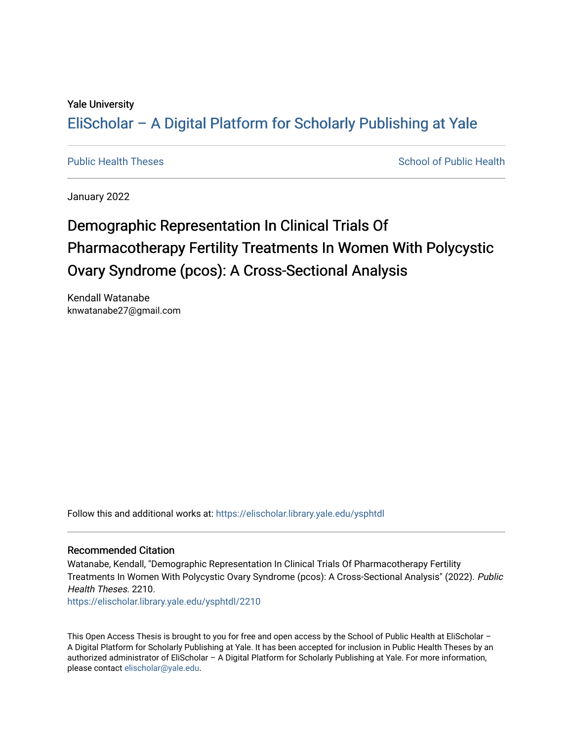#### Yale University

## [EliScholar – A Digital Platform for Scholarly Publishing at Yale](https://elischolar.library.yale.edu/)

[Public Health Theses](https://elischolar.library.yale.edu/ysphtdl) School of Public Health

January 2022

# Demographic Representation In Clinical Trials Of Pharmacotherapy Fertility Treatments In Women With Polycystic Ovary Syndrome (pcos): A Cross-Sectional Analysis

Kendall Watanabe knwatanabe27@gmail.com

Follow this and additional works at: [https://elischolar.library.yale.edu/ysphtdl](https://elischolar.library.yale.edu/ysphtdl?utm_source=elischolar.library.yale.edu%2Fysphtdl%2F2210&utm_medium=PDF&utm_campaign=PDFCoverPages) 

#### Recommended Citation

Watanabe, Kendall, "Demographic Representation In Clinical Trials Of Pharmacotherapy Fertility Treatments In Women With Polycystic Ovary Syndrome (pcos): A Cross-Sectional Analysis" (2022). Public Health Theses. 2210.

[https://elischolar.library.yale.edu/ysphtdl/2210](https://elischolar.library.yale.edu/ysphtdl/2210?utm_source=elischolar.library.yale.edu%2Fysphtdl%2F2210&utm_medium=PDF&utm_campaign=PDFCoverPages) 

This Open Access Thesis is brought to you for free and open access by the School of Public Health at EliScholar – A Digital Platform for Scholarly Publishing at Yale. It has been accepted for inclusion in Public Health Theses by an authorized administrator of EliScholar – A Digital Platform for Scholarly Publishing at Yale. For more information, please contact [elischolar@yale.edu](mailto:elischolar@yale.edu).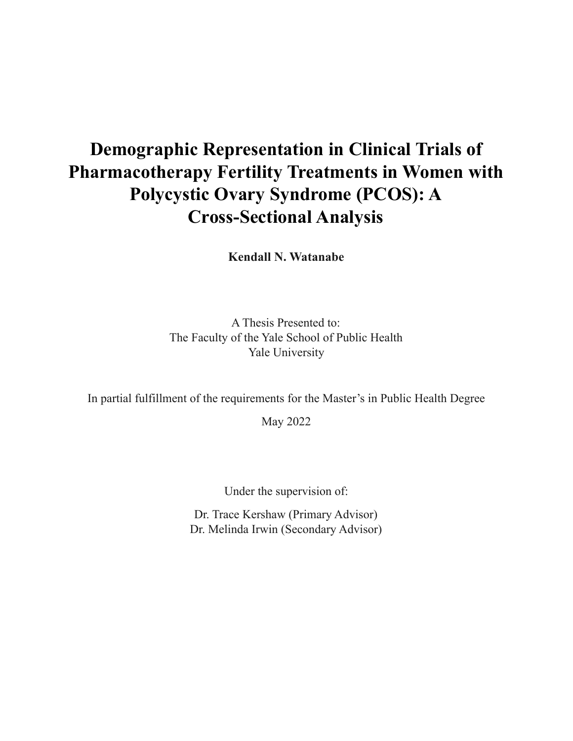# **Demographic Representation in Clinical Trials of Pharmacotherapy Fertility Treatments in Women with Polycystic Ovary Syndrome (PCOS): A Cross-Sectional Analysis**

**Kendall N. Watanabe**

A Thesis Presented to: The Faculty of the Yale School of Public Health Yale University

In partial fulfillment of the requirements for the Master's in Public Health Degree

May 2022

Under the supervision of:

Dr. Trace Kershaw (Primary Advisor) Dr. Melinda Irwin (Secondary Advisor)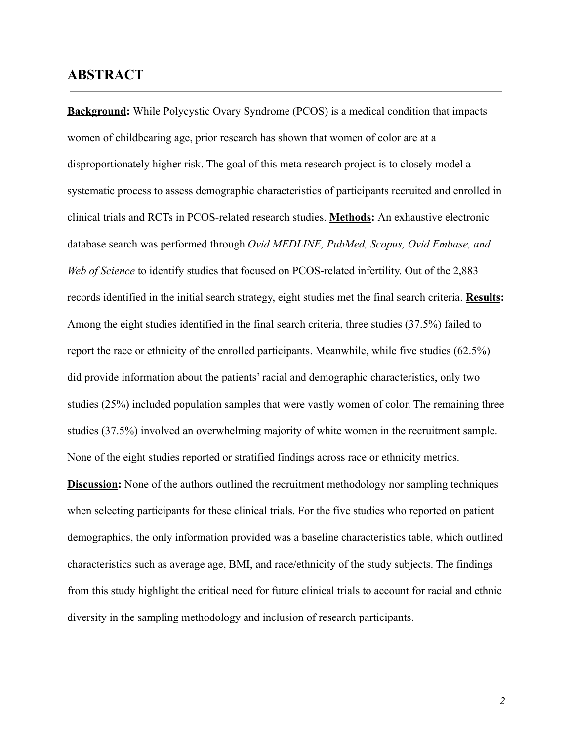### **ABSTRACT**

**Background:** While Polycystic Ovary Syndrome (PCOS) is a medical condition that impacts women of childbearing age, prior research has shown that women of color are at a disproportionately higher risk. The goal of this meta research project is to closely model a systematic process to assess demographic characteristics of participants recruited and enrolled in clinical trials and RCTs in PCOS-related research studies. **Methods:** An exhaustive electronic database search was performed through *Ovid MEDLINE, PubMed, Scopus, Ovid Embase, and Web of Science* to identify studies that focused on PCOS-related infertility. Out of the 2,883 records identified in the initial search strategy, eight studies met the final search criteria. **Results:** Among the eight studies identified in the final search criteria, three studies (37.5%) failed to report the race or ethnicity of the enrolled participants. Meanwhile, while five studies (62.5%) did provide information about the patients' racial and demographic characteristics, only two studies (25%) included population samples that were vastly women of color. The remaining three studies (37.5%) involved an overwhelming majority of white women in the recruitment sample. None of the eight studies reported or stratified findings across race or ethnicity metrics. **Discussion:** None of the authors outlined the recruitment methodology nor sampling techniques when selecting participants for these clinical trials. For the five studies who reported on patient demographics, the only information provided was a baseline characteristics table, which outlined characteristics such as average age, BMI, and race/ethnicity of the study subjects. The findings from this study highlight the critical need for future clinical trials to account for racial and ethnic

diversity in the sampling methodology and inclusion of research participants.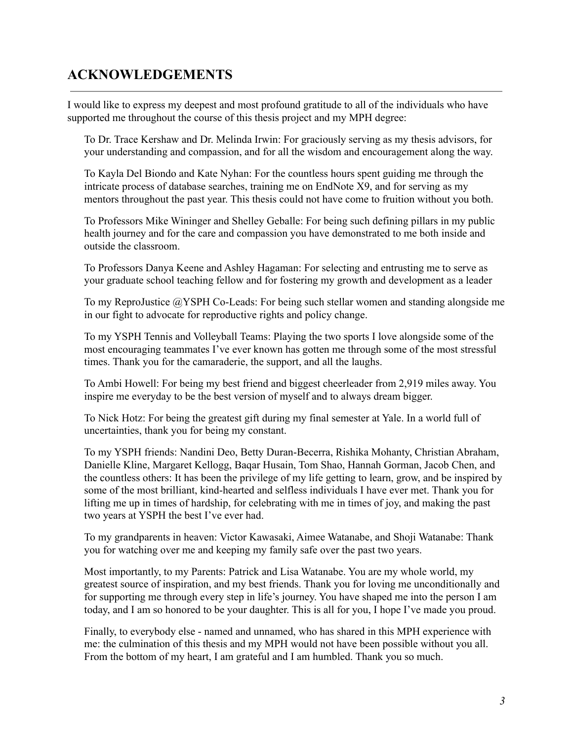## **ACKNOWLEDGEMENTS**

I would like to express my deepest and most profound gratitude to all of the individuals who have supported me throughout the course of this thesis project and my MPH degree:

To Dr. Trace Kershaw and Dr. Melinda Irwin: For graciously serving as my thesis advisors, for your understanding and compassion, and for all the wisdom and encouragement along the way.

To Kayla Del Biondo and Kate Nyhan: For the countless hours spent guiding me through the intricate process of database searches, training me on EndNote X9, and for serving as my mentors throughout the past year. This thesis could not have come to fruition without you both.

To Professors Mike Wininger and Shelley Geballe: For being such defining pillars in my public health journey and for the care and compassion you have demonstrated to me both inside and outside the classroom.

To Professors Danya Keene and Ashley Hagaman: For selecting and entrusting me to serve as your graduate school teaching fellow and for fostering my growth and development as a leader

To my ReproJustice @YSPH Co-Leads: For being such stellar women and standing alongside me in our fight to advocate for reproductive rights and policy change.

To my YSPH Tennis and Volleyball Teams: Playing the two sports I love alongside some of the most encouraging teammates I've ever known has gotten me through some of the most stressful times. Thank you for the camaraderie, the support, and all the laughs.

To Ambi Howell: For being my best friend and biggest cheerleader from 2,919 miles away. You inspire me everyday to be the best version of myself and to always dream bigger.

To Nick Hotz: For being the greatest gift during my final semester at Yale. In a world full of uncertainties, thank you for being my constant.

To my YSPH friends: Nandini Deo, Betty Duran-Becerra, Rishika Mohanty, Christian Abraham, Danielle Kline, Margaret Kellogg, Baqar Husain, Tom Shao, Hannah Gorman, Jacob Chen, and the countless others: It has been the privilege of my life getting to learn, grow, and be inspired by some of the most brilliant, kind-hearted and selfless individuals I have ever met. Thank you for lifting me up in times of hardship, for celebrating with me in times of joy, and making the past two years at YSPH the best I've ever had.

To my grandparents in heaven: Victor Kawasaki, Aimee Watanabe, and Shoji Watanabe: Thank you for watching over me and keeping my family safe over the past two years.

Most importantly, to my Parents: Patrick and Lisa Watanabe. You are my whole world, my greatest source of inspiration, and my best friends. Thank you for loving me unconditionally and for supporting me through every step in life's journey. You have shaped me into the person I am today, and I am so honored to be your daughter. This is all for you, I hope I've made you proud.

Finally, to everybody else - named and unnamed, who has shared in this MPH experience with me: the culmination of this thesis and my MPH would not have been possible without you all. From the bottom of my heart, I am grateful and I am humbled. Thank you so much.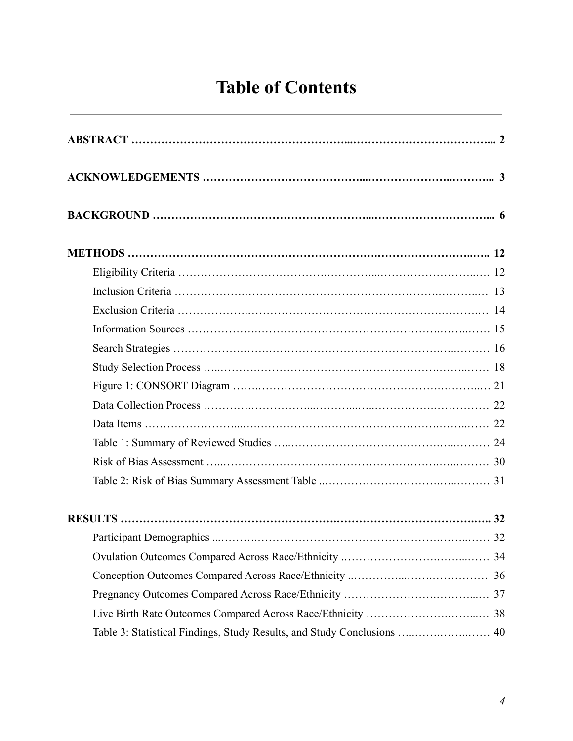# **Table of Contents**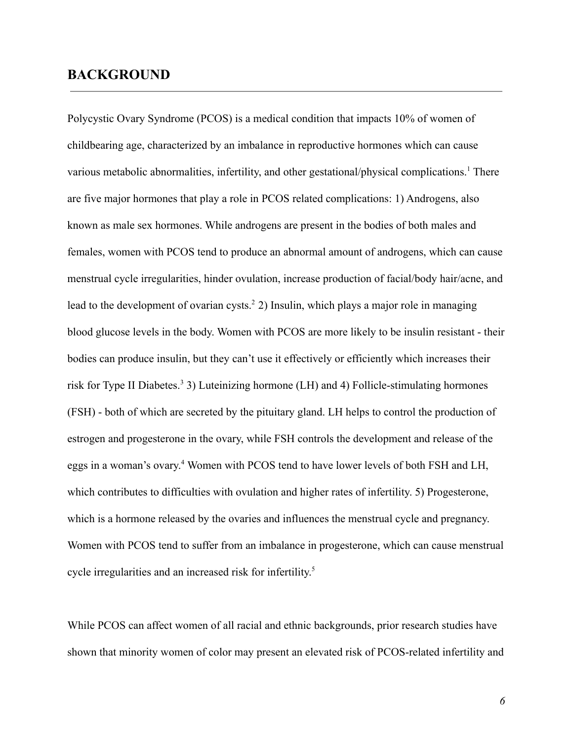### **BACKGROUND**

Polycystic Ovary Syndrome (PCOS) is a medical condition that impacts 10% of women of childbearing age, characterized by an imbalance in reproductive hormones which can cause various metabolic abnormalities, infertility, and other gestational/physical complications.<sup>1</sup> There are five major hormones that play a role in PCOS related complications: 1) Androgens, also known as male sex hormones. While androgens are present in the bodies of both males and females, women with PCOS tend to produce an abnormal amount of androgens, which can cause menstrual cycle irregularities, hinder ovulation, increase production of facial/body hair/acne, and lead to the development of ovarian cysts.<sup>2</sup> 2) Insulin, which plays a major role in managing blood glucose levels in the body. Women with PCOS are more likely to be insulin resistant - their bodies can produce insulin, but they can't use it effectively or efficiently which increases their risk for Type II Diabetes.<sup>3</sup> 3) Luteinizing hormone (LH) and 4) Follicle-stimulating hormones (FSH) - both of which are secreted by the pituitary gland. LH helps to control the production of estrogen and progesterone in the ovary, while FSH controls the development and release of the eggs in a woman's ovary. <sup>4</sup> Women with PCOS tend to have lower levels of both FSH and LH, which contributes to difficulties with ovulation and higher rates of infertility. 5) Progesterone, which is a hormone released by the ovaries and influences the menstrual cycle and pregnancy. Women with PCOS tend to suffer from an imbalance in progesterone, which can cause menstrual cycle irregularities and an increased risk for infertility. 5

While PCOS can affect women of all racial and ethnic backgrounds, prior research studies have shown that minority women of color may present an elevated risk of PCOS-related infertility and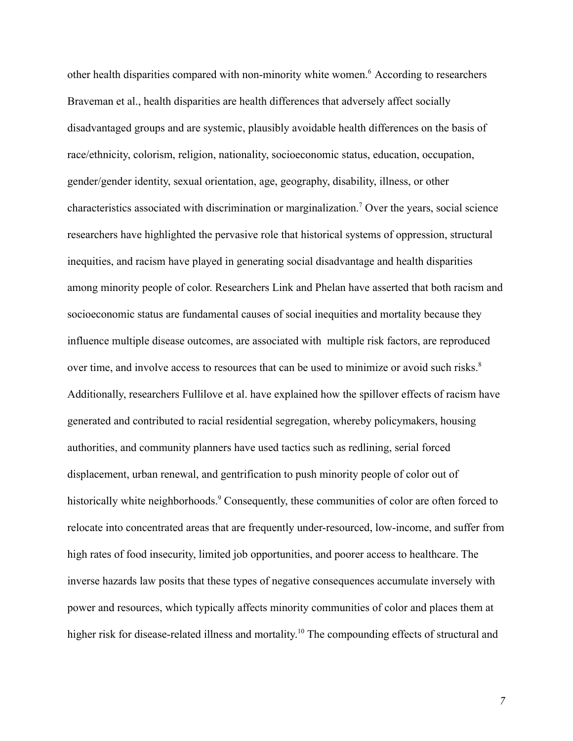other health disparities compared with non-minority white women.<sup>6</sup> According to researchers Braveman et al., health disparities are health differences that adversely affect socially disadvantaged groups and are systemic, plausibly avoidable health differences on the basis of race/ethnicity, colorism, religion, nationality, socioeconomic status, education, occupation, gender/gender identity, sexual orientation, age, geography, disability, illness, or other characteristics associated with discrimination or marginalization.<sup>7</sup> Over the years, social science researchers have highlighted the pervasive role that historical systems of oppression, structural inequities, and racism have played in generating social disadvantage and health disparities among minority people of color. Researchers Link and Phelan have asserted that both racism and socioeconomic status are fundamental causes of social inequities and mortality because they influence multiple disease outcomes, are associated with multiple risk factors, are reproduced over time, and involve access to resources that can be used to minimize or avoid such risks.<sup>8</sup> Additionally, researchers Fullilove et al. have explained how the spillover effects of racism have generated and contributed to racial residential segregation, whereby policymakers, housing authorities, and community planners have used tactics such as redlining, serial forced displacement, urban renewal, and gentrification to push minority people of color out of historically white neighborhoods.<sup>9</sup> Consequently, these communities of color are often forced to relocate into concentrated areas that are frequently under-resourced, low-income, and suffer from high rates of food insecurity, limited job opportunities, and poorer access to healthcare. The inverse hazards law posits that these types of negative consequences accumulate inversely with power and resources, which typically affects minority communities of color and places them at higher risk for disease-related illness and mortality.<sup>10</sup> The compounding effects of structural and

*7*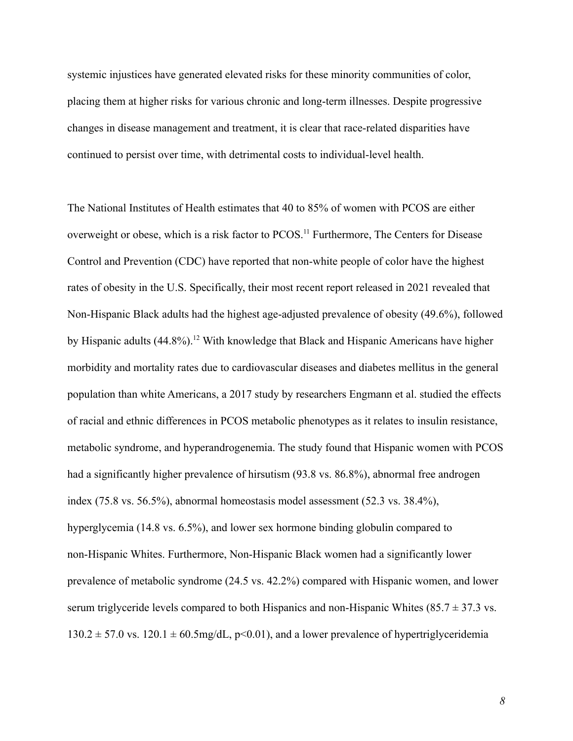systemic injustices have generated elevated risks for these minority communities of color, placing them at higher risks for various chronic and long-term illnesses. Despite progressive changes in disease management and treatment, it is clear that race-related disparities have continued to persist over time, with detrimental costs to individual-level health.

The National Institutes of Health estimates that 40 to 85% of women with PCOS are either overweight or obese, which is a risk factor to PCOS.<sup>11</sup> Furthermore, The Centers for Disease Control and Prevention (CDC) have reported that non-white people of color have the highest rates of obesity in the U.S. Specifically, their most recent report released in 2021 revealed that Non-Hispanic Black adults had the highest age-adjusted prevalence of obesity (49.6%), followed by Hispanic adults  $(44.8\%)$ <sup>12</sup> With knowledge that Black and Hispanic Americans have higher morbidity and mortality rates due to cardiovascular diseases and diabetes mellitus in the general population than white Americans, a 2017 study by researchers Engmann et al. studied the effects of racial and ethnic differences in PCOS metabolic phenotypes as it relates to insulin resistance, metabolic syndrome, and hyperandrogenemia. The study found that Hispanic women with PCOS had a significantly higher prevalence of hirsutism (93.8 vs. 86.8%), abnormal free androgen index (75.8 vs. 56.5%), abnormal homeostasis model assessment (52.3 vs. 38.4%), hyperglycemia (14.8 vs. 6.5%), and lower sex hormone binding globulin compared to non-Hispanic Whites. Furthermore, Non-Hispanic Black women had a significantly lower prevalence of metabolic syndrome (24.5 vs. 42.2%) compared with Hispanic women, and lower serum triglyceride levels compared to both Hispanics and non-Hispanic Whites (85.7  $\pm$  37.3 vs.)  $130.2 \pm 57.0$  vs.  $120.1 \pm 60.5$ mg/dL, p<0.01), and a lower prevalence of hypertriglyceridemia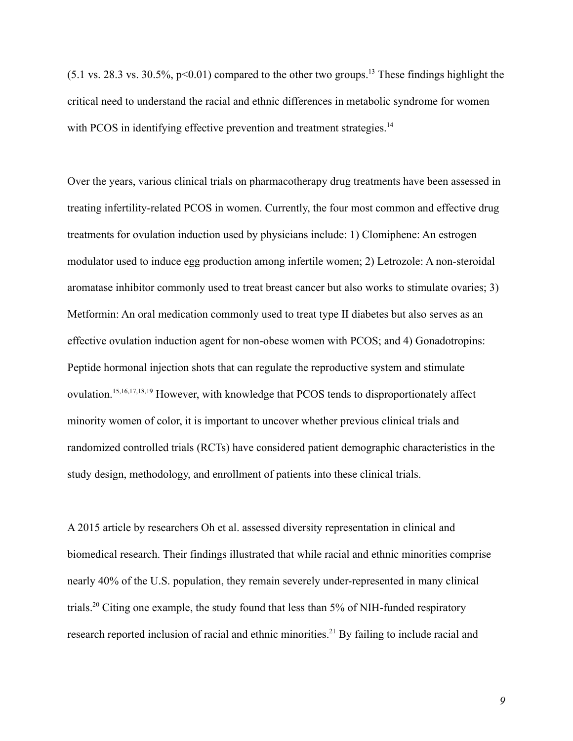$(5.1 \text{ vs. } 28.3 \text{ vs. } 30.5\%$ , p<0.01) compared to the other two groups.<sup>13</sup> These findings highlight the critical need to understand the racial and ethnic differences in metabolic syndrome for women with PCOS in identifying effective prevention and treatment strategies.<sup>14</sup>

Over the years, various clinical trials on pharmacotherapy drug treatments have been assessed in treating infertility-related PCOS in women. Currently, the four most common and effective drug treatments for ovulation induction used by physicians include: 1) Clomiphene: An estrogen modulator used to induce egg production among infertile women; 2) Letrozole: A non-steroidal aromatase inhibitor commonly used to treat breast cancer but also works to stimulate ovaries; 3) Metformin: An oral medication commonly used to treat type II diabetes but also serves as an effective ovulation induction agent for non-obese women with PCOS; and 4) Gonadotropins: Peptide hormonal injection shots that can regulate the reproductive system and stimulate ovulation.15,16,17,18,19 However, with knowledge that PCOS tends to disproportionately affect minority women of color, it is important to uncover whether previous clinical trials and randomized controlled trials (RCTs) have considered patient demographic characteristics in the study design, methodology, and enrollment of patients into these clinical trials.

A 2015 article by researchers Oh et al. assessed diversity representation in clinical and biomedical research. Their findings illustrated that while racial and ethnic minorities comprise nearly 40% of the U.S. population, they remain severely under-represented in many clinical trials.<sup>20</sup> Citing one example, the study found that less than 5% of NIH-funded respiratory research reported inclusion of racial and ethnic minorities.<sup>21</sup> By failing to include racial and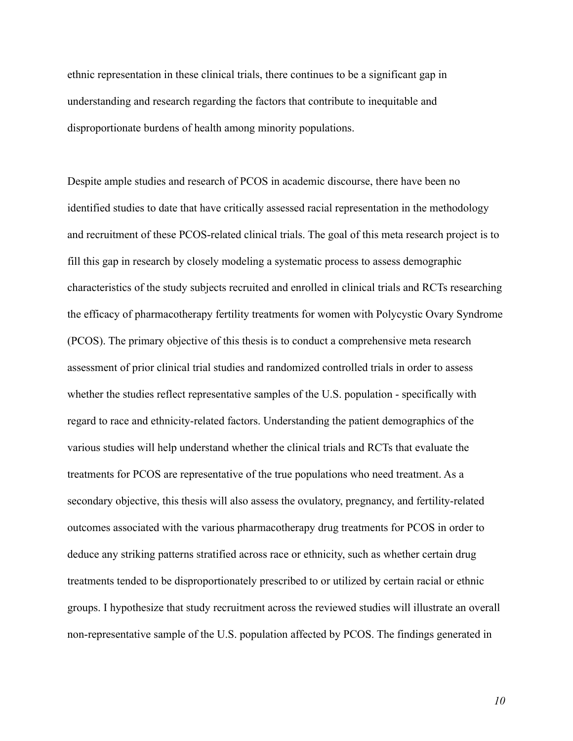ethnic representation in these clinical trials, there continues to be a significant gap in understanding and research regarding the factors that contribute to inequitable and disproportionate burdens of health among minority populations.

Despite ample studies and research of PCOS in academic discourse, there have been no identified studies to date that have critically assessed racial representation in the methodology and recruitment of these PCOS-related clinical trials. The goal of this meta research project is to fill this gap in research by closely modeling a systematic process to assess demographic characteristics of the study subjects recruited and enrolled in clinical trials and RCTs researching the efficacy of pharmacotherapy fertility treatments for women with Polycystic Ovary Syndrome (PCOS). The primary objective of this thesis is to conduct a comprehensive meta research assessment of prior clinical trial studies and randomized controlled trials in order to assess whether the studies reflect representative samples of the U.S. population - specifically with regard to race and ethnicity-related factors. Understanding the patient demographics of the various studies will help understand whether the clinical trials and RCTs that evaluate the treatments for PCOS are representative of the true populations who need treatment. As a secondary objective, this thesis will also assess the ovulatory, pregnancy, and fertility-related outcomes associated with the various pharmacotherapy drug treatments for PCOS in order to deduce any striking patterns stratified across race or ethnicity, such as whether certain drug treatments tended to be disproportionately prescribed to or utilized by certain racial or ethnic groups. I hypothesize that study recruitment across the reviewed studies will illustrate an overall non-representative sample of the U.S. population affected by PCOS. The findings generated in

*10*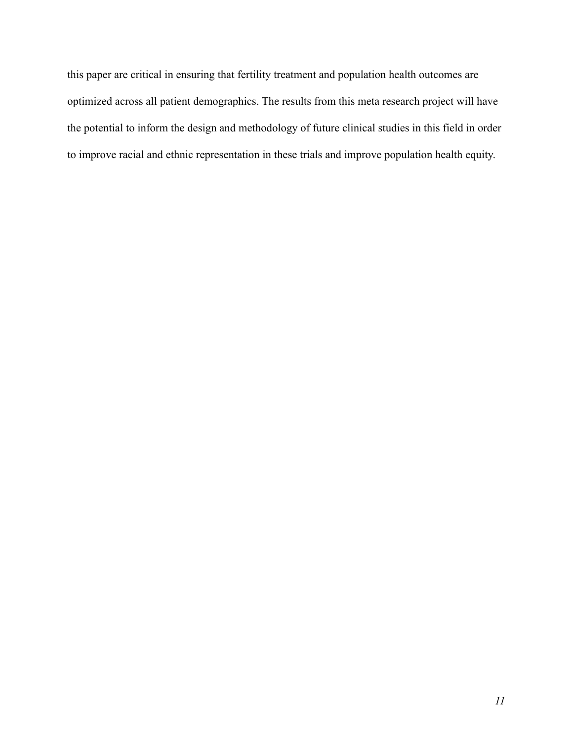this paper are critical in ensuring that fertility treatment and population health outcomes are optimized across all patient demographics. The results from this meta research project will have the potential to inform the design and methodology of future clinical studies in this field in order to improve racial and ethnic representation in these trials and improve population health equity.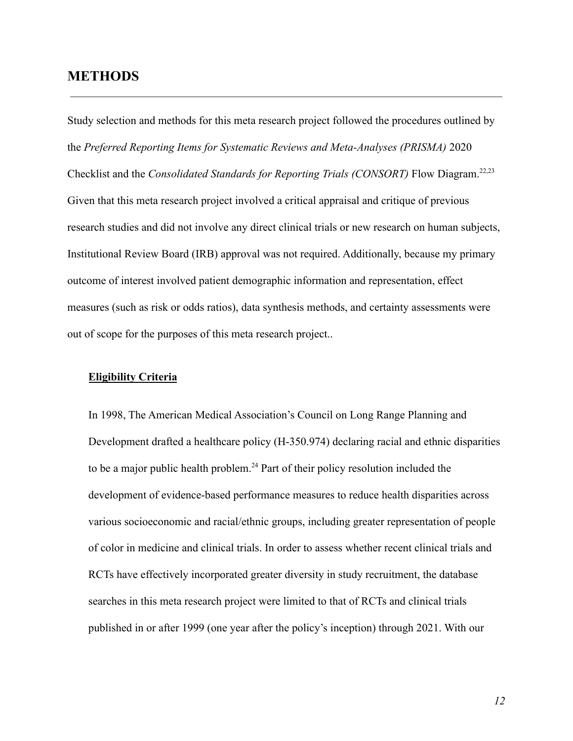### **METHODS**

Study selection and methods for this meta research project followed the procedures outlined by the *Preferred Reporting Items for Systematic Reviews and Meta-Analyses (PRISMA)* 2020 Checklist and the *Consolidated Standards for Reporting Trials (CONSORT)* Flow Diagram.22,23 Given that this meta research project involved a critical appraisal and critique of previous research studies and did not involve any direct clinical trials or new research on human subjects, Institutional Review Board (IRB) approval was not required. Additionally, because my primary outcome of interest involved patient demographic information and representation, effect measures (such as risk or odds ratios), data synthesis methods, and certainty assessments were out of scope for the purposes of this meta research project..

#### **Eligibility Criteria**

In 1998, The American Medical Association's Council on Long Range Planning and Development drafted a healthcare policy (H-350.974) declaring racial and ethnic disparities to be a major public health problem.<sup>24</sup> Part of their policy resolution included the development of evidence-based performance measures to reduce health disparities across various socioeconomic and racial/ethnic groups, including greater representation of people of color in medicine and clinical trials. In order to assess whether recent clinical trials and RCTs have effectively incorporated greater diversity in study recruitment, the database searches in this meta research project were limited to that of RCTs and clinical trials published in or after 1999 (one year after the policy's inception) through 2021. With our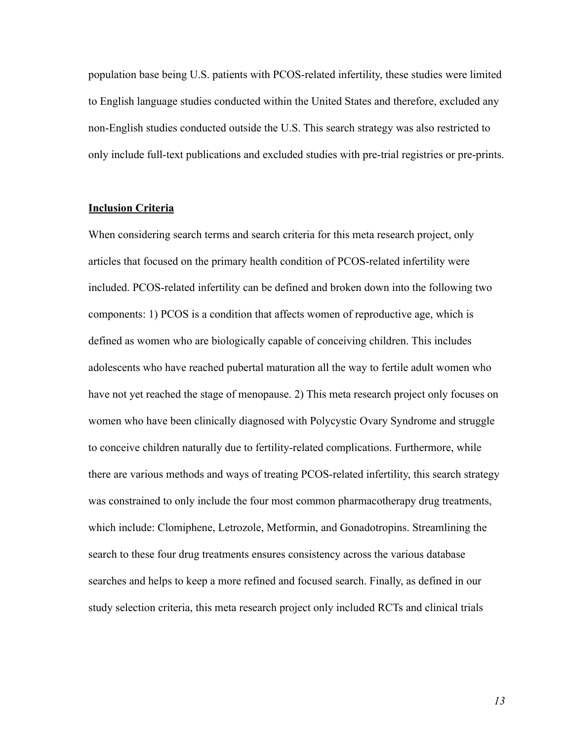population base being U.S. patients with PCOS-related infertility, these studies were limited to English language studies conducted within the United States and therefore, excluded any non-English studies conducted outside the U.S. This search strategy was also restricted to only include full-text publications and excluded studies with pre-trial registries or pre-prints.

#### **Inclusion Criteria**

When considering search terms and search criteria for this meta research project, only articles that focused on the primary health condition of PCOS-related infertility were included. PCOS-related infertility can be defined and broken down into the following two components: 1) PCOS is a condition that affects women of reproductive age, which is defined as women who are biologically capable of conceiving children. This includes adolescents who have reached pubertal maturation all the way to fertile adult women who have not yet reached the stage of menopause. 2) This meta research project only focuses on women who have been clinically diagnosed with Polycystic Ovary Syndrome and struggle to conceive children naturally due to fertility-related complications. Furthermore, while there are various methods and ways of treating PCOS-related infertility, this search strategy was constrained to only include the four most common pharmacotherapy drug treatments, which include: Clomiphene, Letrozole, Metformin, and Gonadotropins. Streamlining the search to these four drug treatments ensures consistency across the various database searches and helps to keep a more refined and focused search. Finally, as defined in our study selection criteria, this meta research project only included RCTs and clinical trials

*13*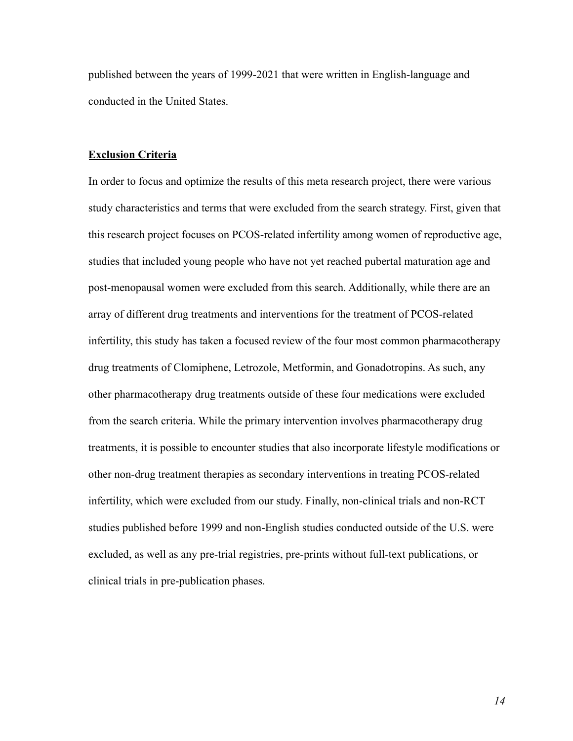published between the years of 1999-2021 that were written in English-language and conducted in the United States.

#### **Exclusion Criteria**

In order to focus and optimize the results of this meta research project, there were various study characteristics and terms that were excluded from the search strategy. First, given that this research project focuses on PCOS-related infertility among women of reproductive age, studies that included young people who have not yet reached pubertal maturation age and post-menopausal women were excluded from this search. Additionally, while there are an array of different drug treatments and interventions for the treatment of PCOS-related infertility, this study has taken a focused review of the four most common pharmacotherapy drug treatments of Clomiphene, Letrozole, Metformin, and Gonadotropins. As such, any other pharmacotherapy drug treatments outside of these four medications were excluded from the search criteria. While the primary intervention involves pharmacotherapy drug treatments, it is possible to encounter studies that also incorporate lifestyle modifications or other non-drug treatment therapies as secondary interventions in treating PCOS-related infertility, which were excluded from our study. Finally, non-clinical trials and non-RCT studies published before 1999 and non-English studies conducted outside of the U.S. were excluded, as well as any pre-trial registries, pre-prints without full-text publications, or clinical trials in pre-publication phases.

*14*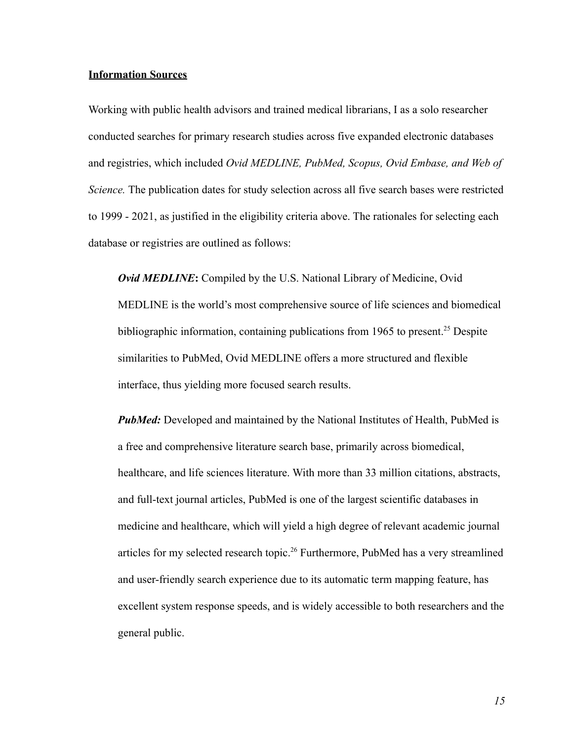#### **Information Sources**

Working with public health advisors and trained medical librarians, I as a solo researcher conducted searches for primary research studies across five expanded electronic databases and registries, which included *Ovid MEDLINE, PubMed, Scopus, Ovid Embase, and Web of Science.* The publication dates for study selection across all five search bases were restricted to 1999 - 2021, as justified in the eligibility criteria above. The rationales for selecting each database or registries are outlined as follows:

*Ovid MEDLINE***:** Compiled by the U.S. National Library of Medicine, Ovid MEDLINE is the world's most comprehensive source of life sciences and biomedical bibliographic information, containing publications from 1965 to present.<sup>25</sup> Despite similarities to PubMed, Ovid MEDLINE offers a more structured and flexible interface, thus yielding more focused search results.

*PubMed:* Developed and maintained by the National Institutes of Health, PubMed is a free and comprehensive literature search base, primarily across biomedical, healthcare, and life sciences literature. With more than 33 million citations, abstracts, and full-text journal articles, PubMed is one of the largest scientific databases in medicine and healthcare, which will yield a high degree of relevant academic journal articles for my selected research topic.<sup>26</sup> Furthermore, PubMed has a very streamlined and user-friendly search experience due to its automatic term mapping feature, has excellent system response speeds, and is widely accessible to both researchers and the general public.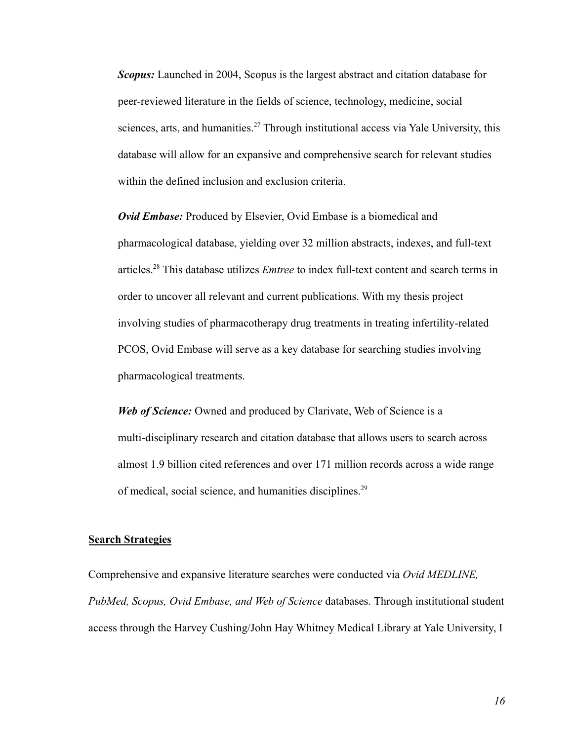*Scopus:* Launched in 2004, Scopus is the largest abstract and citation database for peer-reviewed literature in the fields of science, technology, medicine, social sciences, arts, and humanities.<sup>27</sup> Through institutional access via Yale University, this database will allow for an expansive and comprehensive search for relevant studies within the defined inclusion and exclusion criteria.

*Ovid Embase:* Produced by Elsevier, Ovid Embase is a biomedical and pharmacological database, yielding over 32 million abstracts, indexes, and full-text articles.<sup>28</sup> This database utilizes *Emtree* to index full-text content and search terms in order to uncover all relevant and current publications. With my thesis project involving studies of pharmacotherapy drug treatments in treating infertility-related PCOS, Ovid Embase will serve as a key database for searching studies involving pharmacological treatments.

*Web of Science:* Owned and produced by Clarivate, Web of Science is a multi-disciplinary research and citation database that allows users to search across almost 1.9 billion cited references and over 171 million records across a wide range of medical, social science, and humanities disciplines.<sup>29</sup>

#### **Search Strategies**

Comprehensive and expansive literature searches were conducted via *Ovid MEDLINE, PubMed, Scopus, Ovid Embase, and Web of Science* databases. Through institutional student access through the Harvey Cushing/John Hay Whitney Medical Library at Yale University, I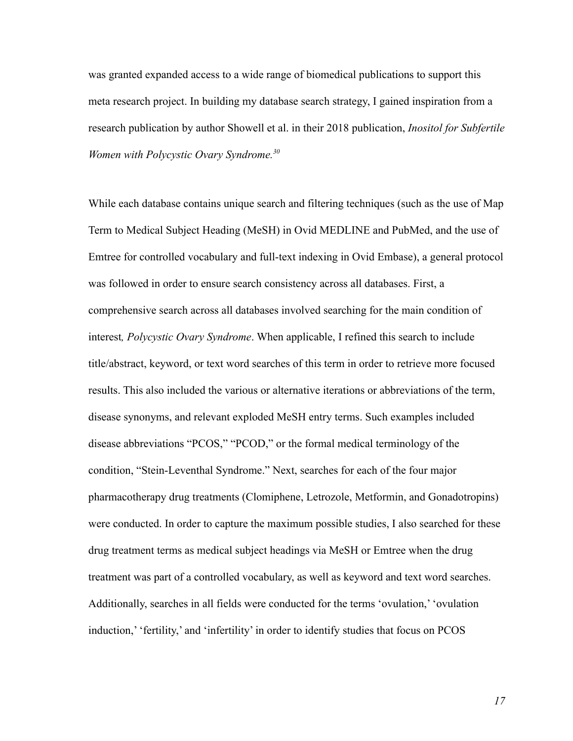was granted expanded access to a wide range of biomedical publications to support this meta research project. In building my database search strategy, I gained inspiration from a research publication by author Showell et al. in their 2018 publication, *Inositol for Subfertile Women with Polycystic Ovary Syndrome.<sup>30</sup>*

While each database contains unique search and filtering techniques (such as the use of Map Term to Medical Subject Heading (MeSH) in Ovid MEDLINE and PubMed, and the use of Emtree for controlled vocabulary and full-text indexing in Ovid Embase), a general protocol was followed in order to ensure search consistency across all databases. First, a comprehensive search across all databases involved searching for the main condition of interest*, Polycystic Ovary Syndrome*. When applicable, I refined this search to include title/abstract, keyword, or text word searches of this term in order to retrieve more focused results. This also included the various or alternative iterations or abbreviations of the term, disease synonyms, and relevant exploded MeSH entry terms. Such examples included disease abbreviations "PCOS," "PCOD," or the formal medical terminology of the condition, "Stein-Leventhal Syndrome." Next, searches for each of the four major pharmacotherapy drug treatments (Clomiphene, Letrozole, Metformin, and Gonadotropins) were conducted. In order to capture the maximum possible studies, I also searched for these drug treatment terms as medical subject headings via MeSH or Emtree when the drug treatment was part of a controlled vocabulary, as well as keyword and text word searches. Additionally, searches in all fields were conducted for the terms 'ovulation,' 'ovulation induction,' 'fertility,' and 'infertility' in order to identify studies that focus on PCOS

*17*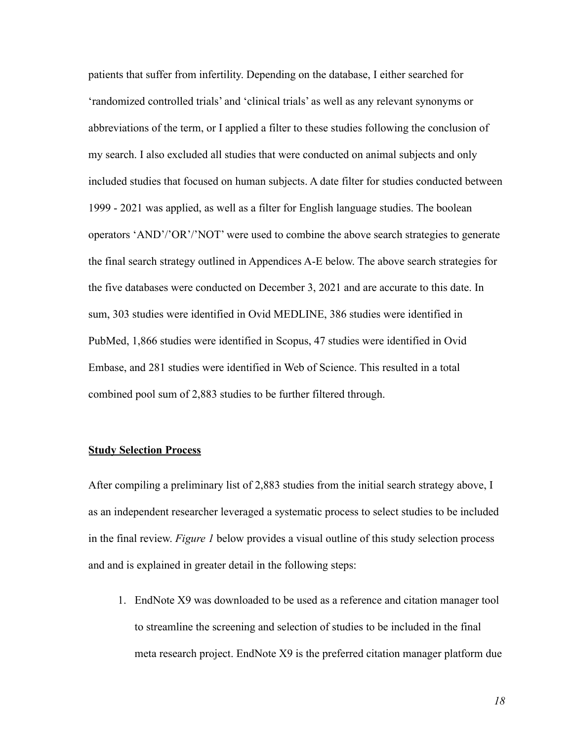patients that suffer from infertility. Depending on the database, I either searched for 'randomized controlled trials' and 'clinical trials' as well as any relevant synonyms or abbreviations of the term, or I applied a filter to these studies following the conclusion of my search. I also excluded all studies that were conducted on animal subjects and only included studies that focused on human subjects. A date filter for studies conducted between 1999 - 2021 was applied, as well as a filter for English language studies. The boolean operators 'AND'/'OR'/'NOT' were used to combine the above search strategies to generate the final search strategy outlined in Appendices A-E below. The above search strategies for the five databases were conducted on December 3, 2021 and are accurate to this date. In sum, 303 studies were identified in Ovid MEDLINE, 386 studies were identified in PubMed, 1,866 studies were identified in Scopus, 47 studies were identified in Ovid Embase, and 281 studies were identified in Web of Science. This resulted in a total combined pool sum of 2,883 studies to be further filtered through.

#### **Study Selection Process**

After compiling a preliminary list of 2,883 studies from the initial search strategy above, I as an independent researcher leveraged a systematic process to select studies to be included in the final review. *Figure 1* below provides a visual outline of this study selection process and and is explained in greater detail in the following steps:

1. EndNote X9 was downloaded to be used as a reference and citation manager tool to streamline the screening and selection of studies to be included in the final meta research project. EndNote X9 is the preferred citation manager platform due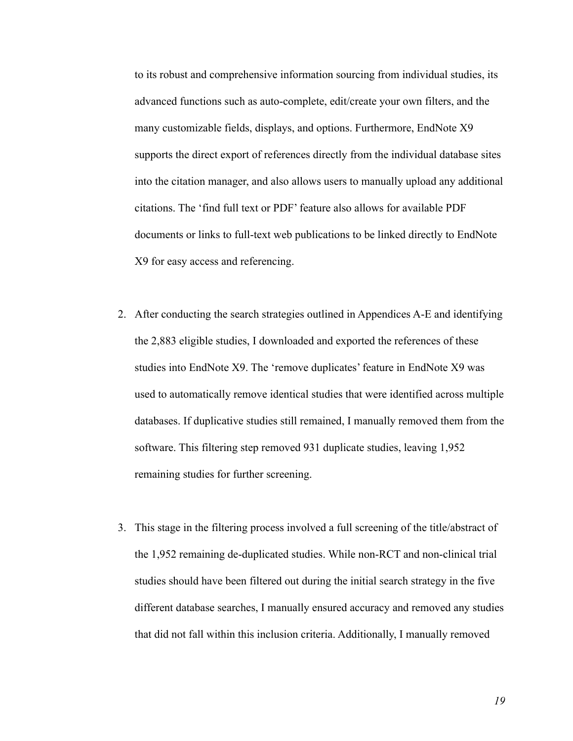to its robust and comprehensive information sourcing from individual studies, its advanced functions such as auto-complete, edit/create your own filters, and the many customizable fields, displays, and options. Furthermore, EndNote X9 supports the direct export of references directly from the individual database sites into the citation manager, and also allows users to manually upload any additional citations. The 'find full text or PDF' feature also allows for available PDF documents or links to full-text web publications to be linked directly to EndNote X9 for easy access and referencing.

- 2. After conducting the search strategies outlined in Appendices A-E and identifying the 2,883 eligible studies, I downloaded and exported the references of these studies into EndNote X9. The 'remove duplicates' feature in EndNote X9 was used to automatically remove identical studies that were identified across multiple databases. If duplicative studies still remained, I manually removed them from the software. This filtering step removed 931 duplicate studies, leaving 1,952 remaining studies for further screening.
- 3. This stage in the filtering process involved a full screening of the title/abstract of the 1,952 remaining de-duplicated studies. While non-RCT and non-clinical trial studies should have been filtered out during the initial search strategy in the five different database searches, I manually ensured accuracy and removed any studies that did not fall within this inclusion criteria. Additionally, I manually removed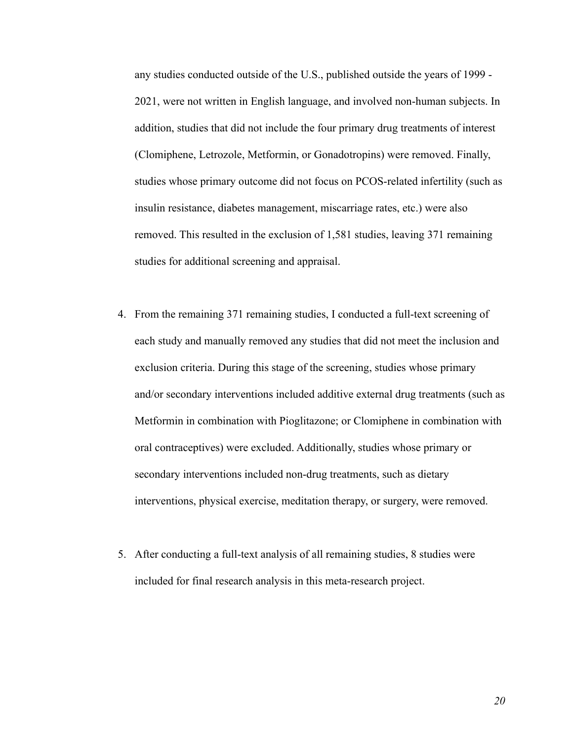any studies conducted outside of the U.S., published outside the years of 1999 - 2021, were not written in English language, and involved non-human subjects. In addition, studies that did not include the four primary drug treatments of interest (Clomiphene, Letrozole, Metformin, or Gonadotropins) were removed. Finally, studies whose primary outcome did not focus on PCOS-related infertility (such as insulin resistance, diabetes management, miscarriage rates, etc.) were also removed. This resulted in the exclusion of 1,581 studies, leaving 371 remaining studies for additional screening and appraisal.

- 4. From the remaining 371 remaining studies, I conducted a full-text screening of each study and manually removed any studies that did not meet the inclusion and exclusion criteria. During this stage of the screening, studies whose primary and/or secondary interventions included additive external drug treatments (such as Metformin in combination with Pioglitazone; or Clomiphene in combination with oral contraceptives) were excluded. Additionally, studies whose primary or secondary interventions included non-drug treatments, such as dietary interventions, physical exercise, meditation therapy, or surgery, were removed.
- 5. After conducting a full-text analysis of all remaining studies, 8 studies were included for final research analysis in this meta-research project.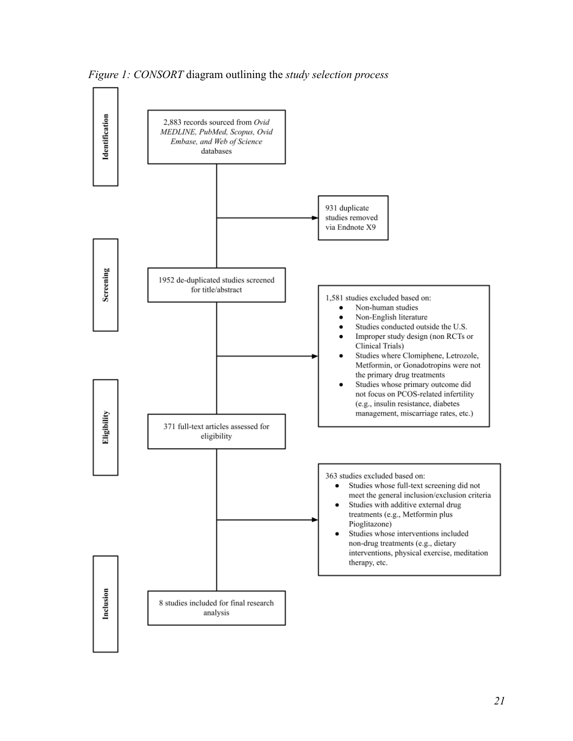

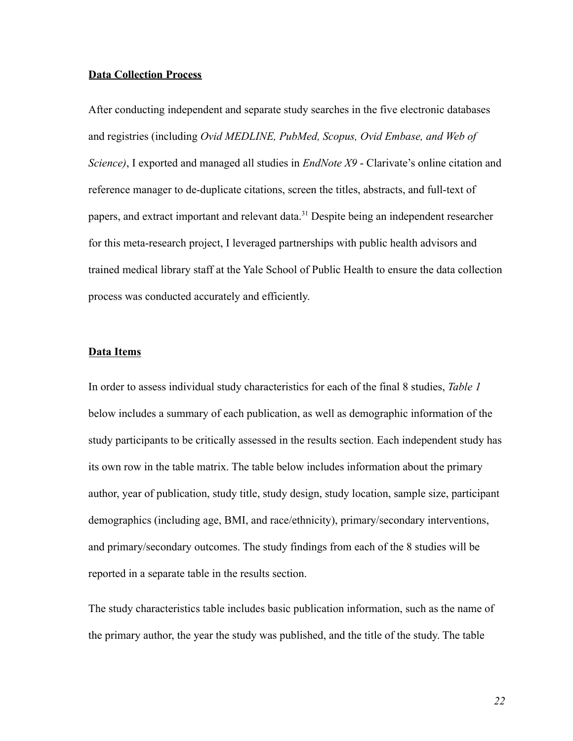#### **Data Collection Process**

After conducting independent and separate study searches in the five electronic databases and registries (including *Ovid MEDLINE, PubMed, Scopus, Ovid Embase, and Web of Science)*, I exported and managed all studies in *EndNote X9* - Clarivate's online citation and reference manager to de-duplicate citations, screen the titles, abstracts, and full-text of papers, and extract important and relevant data.<sup>31</sup> Despite being an independent researcher for this meta-research project, I leveraged partnerships with public health advisors and trained medical library staff at the Yale School of Public Health to ensure the data collection process was conducted accurately and efficiently.

#### **Data Items**

In order to assess individual study characteristics for each of the final 8 studies, *Table 1* below includes a summary of each publication, as well as demographic information of the study participants to be critically assessed in the results section. Each independent study has its own row in the table matrix. The table below includes information about the primary author, year of publication, study title, study design, study location, sample size, participant demographics (including age, BMI, and race/ethnicity), primary/secondary interventions, and primary/secondary outcomes. The study findings from each of the 8 studies will be reported in a separate table in the results section.

The study characteristics table includes basic publication information, such as the name of the primary author, the year the study was published, and the title of the study. The table

*22*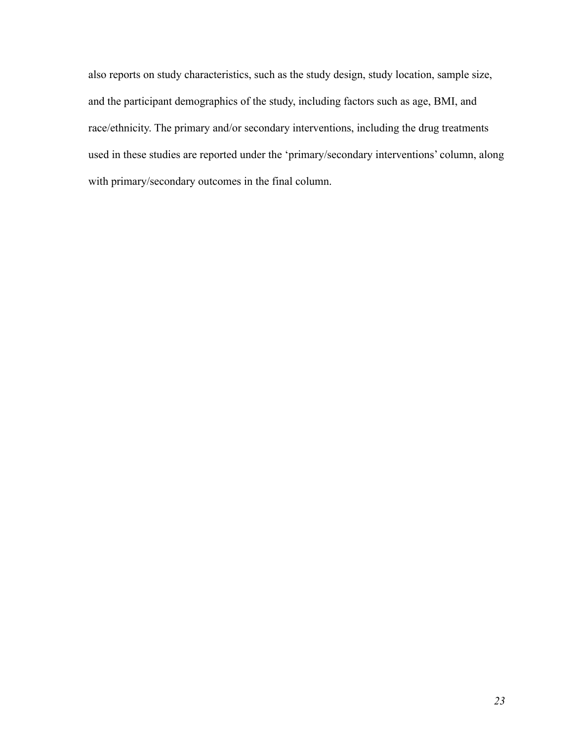also reports on study characteristics, such as the study design, study location, sample size, and the participant demographics of the study, including factors such as age, BMI, and race/ethnicity. The primary and/or secondary interventions, including the drug treatments used in these studies are reported under the 'primary/secondary interventions' column, along with primary/secondary outcomes in the final column.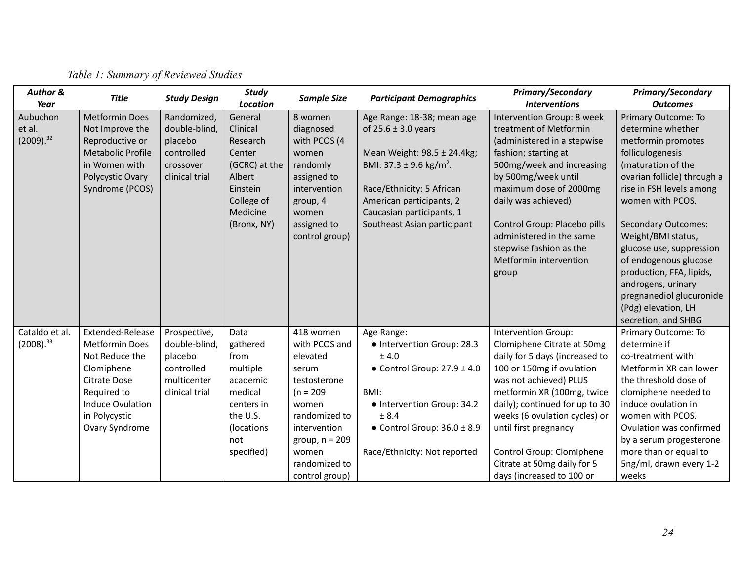| <b>Author &amp;</b><br>Year          | <b>Title</b>                                                                                                                                                                  | <b>Study Design</b>                                                                     | <b>Study</b><br><b>Location</b>                                                                                           | <b>Sample Size</b>                                                                                                                                                                       | <b>Participant Demographics</b>                                                                                                                                                                                                                  | Primary/Secondary<br><b>Interventions</b>                                                                                                                                                                                                                                                                                                                            | Primary/Secondary<br><b>Outcomes</b>                                                                                                                                                                                                                                                                                                                                                                                         |
|--------------------------------------|-------------------------------------------------------------------------------------------------------------------------------------------------------------------------------|-----------------------------------------------------------------------------------------|---------------------------------------------------------------------------------------------------------------------------|------------------------------------------------------------------------------------------------------------------------------------------------------------------------------------------|--------------------------------------------------------------------------------------------------------------------------------------------------------------------------------------------------------------------------------------------------|----------------------------------------------------------------------------------------------------------------------------------------------------------------------------------------------------------------------------------------------------------------------------------------------------------------------------------------------------------------------|------------------------------------------------------------------------------------------------------------------------------------------------------------------------------------------------------------------------------------------------------------------------------------------------------------------------------------------------------------------------------------------------------------------------------|
| Aubuchon<br>et al.<br>$(2009).^{32}$ | <b>Metformin Does</b><br>Not Improve the<br>Reproductive or<br><b>Metabolic Profile</b><br>in Women with<br>Polycystic Ovary<br>Syndrome (PCOS)                               | Randomized,<br>double-blind,<br>placebo<br>controlled<br>crossover<br>clinical trial    | General<br>Clinical<br>Research<br>Center<br>(GCRC) at the<br>Albert<br>Einstein<br>College of<br>Medicine<br>(Bronx, NY) | 8 women<br>diagnosed<br>with PCOS (4<br>women<br>randomly<br>assigned to<br>intervention<br>group, 4<br>women<br>assigned to<br>control group)                                           | Age Range: 18-38; mean age<br>of $25.6 \pm 3.0$ years<br>Mean Weight: 98.5 ± 24.4kg;<br>BMI: 37.3 ± 9.6 kg/m <sup>2</sup> .<br>Race/Ethnicity: 5 African<br>American participants, 2<br>Caucasian participants, 1<br>Southeast Asian participant | Intervention Group: 8 week<br>treatment of Metformin<br>(administered in a stepwise<br>fashion; starting at<br>500mg/week and increasing<br>by 500mg/week until<br>maximum dose of 2000mg<br>daily was achieved)<br>Control Group: Placebo pills<br>administered in the same<br>stepwise fashion as the<br>Metformin intervention<br>group                           | Primary Outcome: To<br>determine whether<br>metformin promotes<br>folliculogenesis<br>(maturation of the<br>ovarian follicle) through a<br>rise in FSH levels among<br>women with PCOS.<br><b>Secondary Outcomes:</b><br>Weight/BMI status,<br>glucose use, suppression<br>of endogenous glucose<br>production, FFA, lipids,<br>androgens, urinary<br>pregnanediol glucuronide<br>(Pdg) elevation, LH<br>secretion, and SHBG |
| Cataldo et al.<br>$(2008).^{33}$     | Extended-Release<br><b>Metformin Does</b><br>Not Reduce the<br>Clomiphene<br><b>Citrate Dose</b><br>Required to<br><b>Induce Ovulation</b><br>in Polycystic<br>Ovary Syndrome | Prospective,<br>double-blind,<br>placebo<br>controlled<br>multicenter<br>clinical trial | Data<br>gathered<br>from<br>multiple<br>academic<br>medical<br>centers in<br>the U.S.<br>(locations<br>not<br>specified)  | 418 women<br>with PCOS and<br>elevated<br>serum<br>testosterone<br>$(n = 209)$<br>women<br>randomized to<br>intervention<br>group, $n = 209$<br>women<br>randomized to<br>control group) | Age Range:<br>· Intervention Group: 28.3<br>± 4.0<br>$\bullet$ Control Group: 27.9 $\pm$ 4.0<br>BMI:<br>• Intervention Group: 34.2<br>± 8.4<br>$\bullet$ Control Group: 36.0 $\pm$ 8.9<br>Race/Ethnicity: Not reported                           | <b>Intervention Group:</b><br>Clomiphene Citrate at 50mg<br>daily for 5 days (increased to<br>100 or 150mg if ovulation<br>was not achieved) PLUS<br>metformin XR (100mg, twice<br>daily); continued for up to 30<br>weeks (6 ovulation cycles) or<br>until first pregnancy<br>Control Group: Clomiphene<br>Citrate at 50mg daily for 5<br>days (increased to 100 or | Primary Outcome: To<br>determine if<br>co-treatment with<br>Metformin XR can lower<br>the threshold dose of<br>clomiphene needed to<br>induce ovulation in<br>women with PCOS.<br>Ovulation was confirmed<br>by a serum progesterone<br>more than or equal to<br>5ng/ml, drawn every 1-2<br>weeks                                                                                                                            |

# *Table 1: Summary of Reviewed Studies*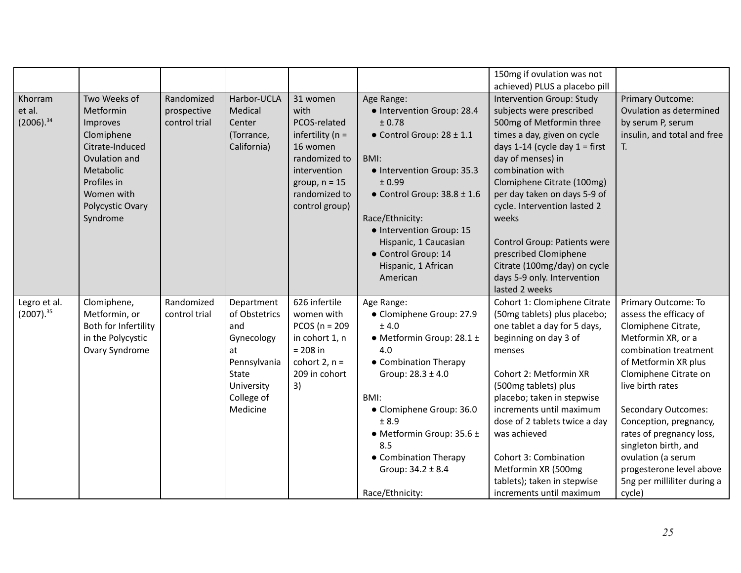|                                     |                                                                                                                                                                   |                                            |                                                                                                                                |                                                                                                                                                            |                                                                                                                                                                                                                                                                                                                      | 150mg if ovulation was not<br>achieved) PLUS a placebo pill                                                                                                                                                                                                                                                                                                                                                                                    |                                                                                                                                                                                                                                                                                                                                                                                                 |
|-------------------------------------|-------------------------------------------------------------------------------------------------------------------------------------------------------------------|--------------------------------------------|--------------------------------------------------------------------------------------------------------------------------------|------------------------------------------------------------------------------------------------------------------------------------------------------------|----------------------------------------------------------------------------------------------------------------------------------------------------------------------------------------------------------------------------------------------------------------------------------------------------------------------|------------------------------------------------------------------------------------------------------------------------------------------------------------------------------------------------------------------------------------------------------------------------------------------------------------------------------------------------------------------------------------------------------------------------------------------------|-------------------------------------------------------------------------------------------------------------------------------------------------------------------------------------------------------------------------------------------------------------------------------------------------------------------------------------------------------------------------------------------------|
| Khorram<br>et al.<br>$(2006).^{34}$ | Two Weeks of<br>Metformin<br>Improves<br>Clomiphene<br>Citrate-Induced<br>Ovulation and<br>Metabolic<br>Profiles in<br>Women with<br>Polycystic Ovary<br>Syndrome | Randomized<br>prospective<br>control trial | Harbor-UCLA<br>Medical<br>Center<br>(Torrance,<br>California)                                                                  | 31 women<br>with<br>PCOS-related<br>infertility ( $n =$<br>16 women<br>randomized to<br>intervention<br>group, $n = 15$<br>randomized to<br>control group) | Age Range:<br>· Intervention Group: 28.4<br>± 0.78<br>$\bullet$ Control Group: 28 $\pm$ 1.1<br>BMI:<br>• Intervention Group: 35.3<br>± 0.99<br>$\bullet$ Control Group: 38.8 ± 1.6<br>Race/Ethnicity:<br>· Intervention Group: 15<br>Hispanic, 1 Caucasian<br>· Control Group: 14<br>Hispanic, 1 African<br>American | Intervention Group: Study<br>subjects were prescribed<br>500mg of Metformin three<br>times a day, given on cycle<br>days 1-14 (cycle day $1 =$ first<br>day of menses) in<br>combination with<br>Clomiphene Citrate (100mg)<br>per day taken on days 5-9 of<br>cycle. Intervention lasted 2<br>weeks<br>Control Group: Patients were<br>prescribed Clomiphene<br>Citrate (100mg/day) on cycle<br>days 5-9 only. Intervention<br>lasted 2 weeks | Primary Outcome:<br>Ovulation as determined<br>by serum P, serum<br>insulin, and total and free<br>T.                                                                                                                                                                                                                                                                                           |
| Legro et al.<br>$(2007).^{35}$      | Clomiphene,<br>Metformin, or<br>Both for Infertility<br>in the Polycystic<br>Ovary Syndrome                                                                       | Randomized<br>control trial                | Department<br>of Obstetrics<br>and<br>Gynecology<br>at<br>Pennsylvania<br><b>State</b><br>University<br>College of<br>Medicine | 626 infertile<br>women with<br>PCOS ( $n = 209$<br>in cohort 1, n<br>$= 208$ in<br>cohort $2, n =$<br>209 in cohort<br>3)                                  | Age Range:<br>• Clomiphene Group: 27.9<br>± 4.0<br>$\bullet$ Metformin Group: 28.1 $\pm$<br>4.0<br>• Combination Therapy<br>Group: $28.3 \pm 4.0$<br>BMI:<br>• Clomiphene Group: 36.0<br>± 8.9<br>$\bullet$ Metformin Group: 35.6 ±<br>8.5<br>• Combination Therapy<br>Group: $34.2 \pm 8.4$<br>Race/Ethnicity:      | Cohort 1: Clomiphene Citrate<br>(50mg tablets) plus placebo;<br>one tablet a day for 5 days,<br>beginning on day 3 of<br>menses<br>Cohort 2: Metformin XR<br>(500mg tablets) plus<br>placebo; taken in stepwise<br>increments until maximum<br>dose of 2 tablets twice a day<br>was achieved<br>Cohort 3: Combination<br>Metformin XR (500mg<br>tablets); taken in stepwise<br>increments until maximum                                        | Primary Outcome: To<br>assess the efficacy of<br>Clomiphene Citrate,<br>Metformin XR, or a<br>combination treatment<br>of Metformin XR plus<br>Clomiphene Citrate on<br>live birth rates<br><b>Secondary Outcomes:</b><br>Conception, pregnancy,<br>rates of pregnancy loss,<br>singleton birth, and<br>ovulation (a serum<br>progesterone level above<br>5ng per milliliter during a<br>cycle) |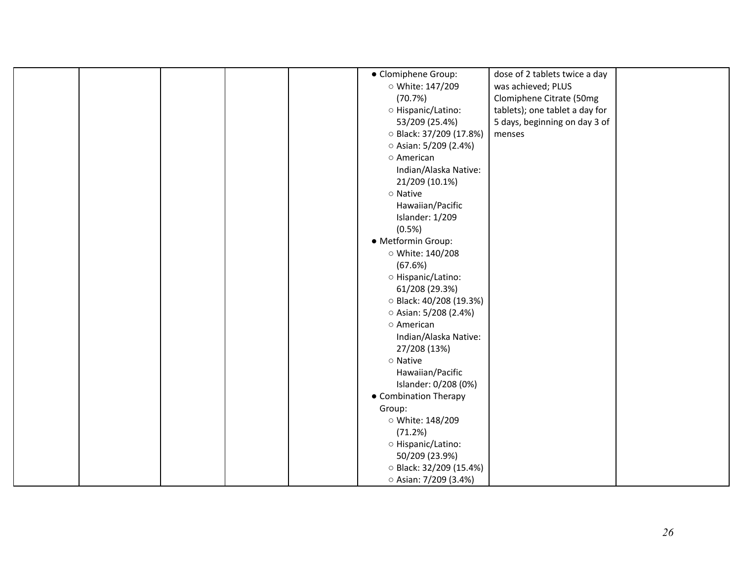|  |  | • Clomiphene Group:         | dose of 2 tablets twice a day  |  |
|--|--|-----------------------------|--------------------------------|--|
|  |  | ○ White: 147/209            | was achieved; PLUS             |  |
|  |  | (70.7%)                     | Clomiphene Citrate (50mg       |  |
|  |  | O Hispanic/Latino:          | tablets); one tablet a day for |  |
|  |  | 53/209 (25.4%)              | 5 days, beginning on day 3 of  |  |
|  |  | ○ Black: 37/209 (17.8%)     | menses                         |  |
|  |  | $\circ$ Asian: 5/209 (2.4%) |                                |  |
|  |  | o American                  |                                |  |
|  |  | Indian/Alaska Native:       |                                |  |
|  |  | 21/209 (10.1%)              |                                |  |
|  |  | o Native                    |                                |  |
|  |  | Hawaiian/Pacific            |                                |  |
|  |  | Islander: 1/209             |                                |  |
|  |  | (0.5%)                      |                                |  |
|  |  | · Metformin Group:          |                                |  |
|  |  | ○ White: 140/208            |                                |  |
|  |  | (67.6%)                     |                                |  |
|  |  | O Hispanic/Latino:          |                                |  |
|  |  | 61/208 (29.3%)              |                                |  |
|  |  | ○ Black: 40/208 (19.3%)     |                                |  |
|  |  | $\circ$ Asian: 5/208 (2.4%) |                                |  |
|  |  | o American                  |                                |  |
|  |  | Indian/Alaska Native:       |                                |  |
|  |  | 27/208 (13%)                |                                |  |
|  |  | o Native                    |                                |  |
|  |  | Hawaiian/Pacific            |                                |  |
|  |  | Islander: 0/208 (0%)        |                                |  |
|  |  | • Combination Therapy       |                                |  |
|  |  | Group:                      |                                |  |
|  |  | ○ White: 148/209            |                                |  |
|  |  | (71.2%)                     |                                |  |
|  |  | ○ Hispanic/Latino:          |                                |  |
|  |  | 50/209 (23.9%)              |                                |  |
|  |  | ○ Black: 32/209 (15.4%)     |                                |  |
|  |  |                             |                                |  |
|  |  | ○ Asian: 7/209 (3.4%)       |                                |  |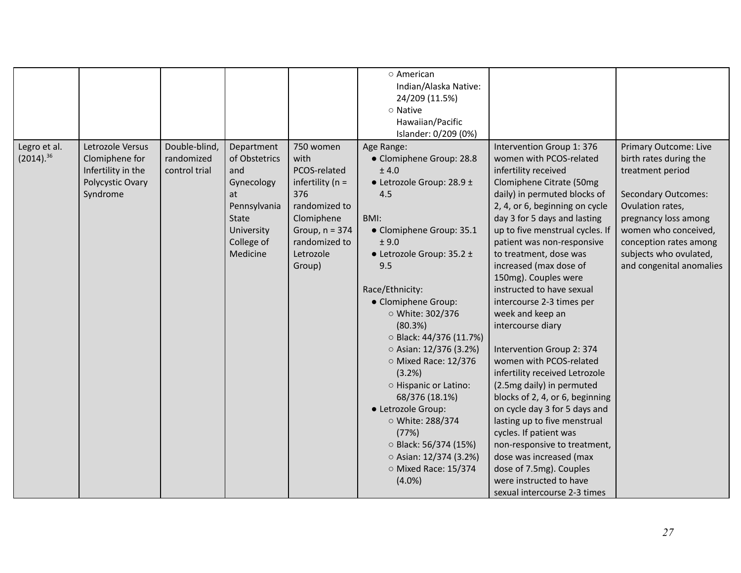|                                |                                                                                          |                                              |                                                                                                                         |                                                                                                                                                            | o American<br>Indian/Alaska Native:<br>24/209 (11.5%)<br>o Native<br>Hawaiian/Pacific<br>Islander: 0/209 (0%)                                                                                                                                                                                                                                                                                                                                                                                                                            |                                                                                                                                                                                                                                                                                                                                                                                                                                                                                                                                                                                                                                                                                                                                                                                                                                                                  |                                                                                                                                                                                                                                                              |
|--------------------------------|------------------------------------------------------------------------------------------|----------------------------------------------|-------------------------------------------------------------------------------------------------------------------------|------------------------------------------------------------------------------------------------------------------------------------------------------------|------------------------------------------------------------------------------------------------------------------------------------------------------------------------------------------------------------------------------------------------------------------------------------------------------------------------------------------------------------------------------------------------------------------------------------------------------------------------------------------------------------------------------------------|------------------------------------------------------------------------------------------------------------------------------------------------------------------------------------------------------------------------------------------------------------------------------------------------------------------------------------------------------------------------------------------------------------------------------------------------------------------------------------------------------------------------------------------------------------------------------------------------------------------------------------------------------------------------------------------------------------------------------------------------------------------------------------------------------------------------------------------------------------------|--------------------------------------------------------------------------------------------------------------------------------------------------------------------------------------------------------------------------------------------------------------|
| Legro et al.<br>$(2014).^{36}$ | Letrozole Versus<br>Clomiphene for<br>Infertility in the<br>Polycystic Ovary<br>Syndrome | Double-blind,<br>randomized<br>control trial | Department<br>of Obstetrics<br>and<br>Gynecology<br>at<br>Pennsylvania<br>State<br>University<br>College of<br>Medicine | 750 women<br>with<br>PCOS-related<br>infertility ( $n =$<br>376<br>randomized to<br>Clomiphene<br>Group, $n = 374$<br>randomized to<br>Letrozole<br>Group) | Age Range:<br>• Clomiphene Group: 28.8<br>± 4.0<br>• Letrozole Group: 28.9 ±<br>4.5<br>BMI:<br>• Clomiphene Group: 35.1<br>± 9.0<br>$\bullet$ Letrozole Group: 35.2 ±<br>9.5<br>Race/Ethnicity:<br>• Clomiphene Group:<br>○ White: 302/376<br>(80.3%)<br>○ Black: 44/376 (11.7%)<br>$\circ$ Asian: 12/376 (3.2%)<br>O Mixed Race: 12/376<br>(3.2%)<br>O Hispanic or Latino:<br>68/376 (18.1%)<br>• Letrozole Group:<br>○ White: 288/374<br>(77%)<br>○ Black: 56/374 (15%)<br>○ Asian: 12/374 (3.2%)<br>O Mixed Race: 15/374<br>$(4.0\%)$ | Intervention Group 1: 376<br>women with PCOS-related<br>infertility received<br>Clomiphene Citrate (50mg<br>daily) in permuted blocks of<br>2, 4, or 6, beginning on cycle<br>day 3 for 5 days and lasting<br>up to five menstrual cycles. If<br>patient was non-responsive<br>to treatment, dose was<br>increased (max dose of<br>150mg). Couples were<br>instructed to have sexual<br>intercourse 2-3 times per<br>week and keep an<br>intercourse diary<br>Intervention Group 2: 374<br>women with PCOS-related<br>infertility received Letrozole<br>(2.5mg daily) in permuted<br>blocks of 2, 4, or 6, beginning<br>on cycle day 3 for 5 days and<br>lasting up to five menstrual<br>cycles. If patient was<br>non-responsive to treatment,<br>dose was increased (max<br>dose of 7.5mg). Couples<br>were instructed to have<br>sexual intercourse 2-3 times | <b>Primary Outcome: Live</b><br>birth rates during the<br>treatment period<br><b>Secondary Outcomes:</b><br>Ovulation rates,<br>pregnancy loss among<br>women who conceived,<br>conception rates among<br>subjects who ovulated,<br>and congenital anomalies |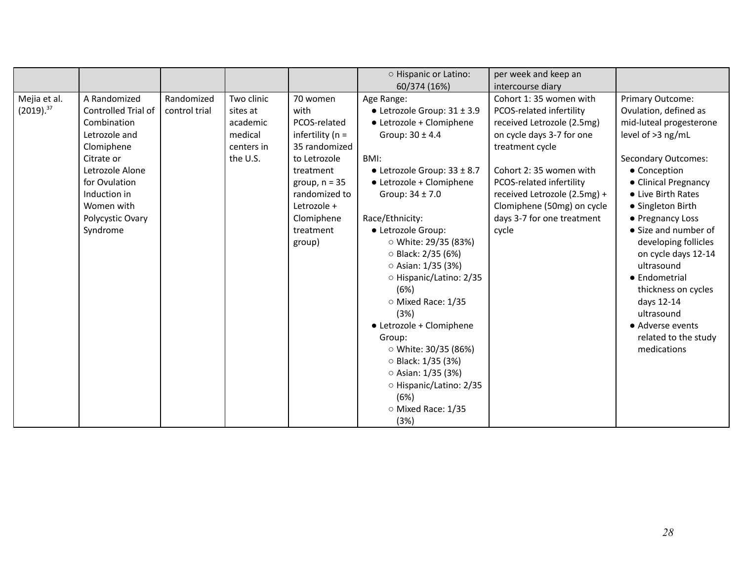|                                |                                                                                                                                                                                                   |                             |                                                                         |                                                                                                                                                                                               | O Hispanic or Latino:<br>60/374 (16%)                                                                                                                                                                                                                                                                                                                                                                                                                                                                                                                                     | per week and keep an<br>intercourse diary                                                                                                                                                                                                                                                   |                                                                                                                                                                                                                                                                                                                                                                                                                                                    |
|--------------------------------|---------------------------------------------------------------------------------------------------------------------------------------------------------------------------------------------------|-----------------------------|-------------------------------------------------------------------------|-----------------------------------------------------------------------------------------------------------------------------------------------------------------------------------------------|---------------------------------------------------------------------------------------------------------------------------------------------------------------------------------------------------------------------------------------------------------------------------------------------------------------------------------------------------------------------------------------------------------------------------------------------------------------------------------------------------------------------------------------------------------------------------|---------------------------------------------------------------------------------------------------------------------------------------------------------------------------------------------------------------------------------------------------------------------------------------------|----------------------------------------------------------------------------------------------------------------------------------------------------------------------------------------------------------------------------------------------------------------------------------------------------------------------------------------------------------------------------------------------------------------------------------------------------|
| Mejia et al.<br>$(2019).^{37}$ | A Randomized<br>Controlled Trial of<br>Combination<br>Letrozole and<br>Clomiphene<br>Citrate or<br>Letrozole Alone<br>for Ovulation<br>Induction in<br>Women with<br>Polycystic Ovary<br>Syndrome | Randomized<br>control trial | Two clinic<br>sites at<br>academic<br>medical<br>centers in<br>the U.S. | 70 women<br>with<br>PCOS-related<br>infertility ( $n =$<br>35 randomized<br>to Letrozole<br>treatment<br>group, $n = 35$<br>randomized to<br>Letrozole +<br>Clomiphene<br>treatment<br>group) | Age Range:<br>$\bullet$ Letrozole Group: 31 $\pm$ 3.9<br>• Letrozole + Clomiphene<br>Group: $30 \pm 4.4$<br>BMI:<br>$\bullet$ Letrozole Group: 33 ± 8.7<br>• Letrozole + Clomiphene<br>Group: $34 \pm 7.0$<br>Race/Ethnicity:<br>· Letrozole Group:<br>○ White: 29/35 (83%)<br>○ Black: 2/35 (6%)<br>$\circ$ Asian: 1/35 (3%)<br>○ Hispanic/Latino: 2/35<br>(6%)<br>O Mixed Race: 1/35<br>(3%)<br>• Letrozole + Clomiphene<br>Group:<br>○ White: 30/35 (86%)<br>○ Black: 1/35 (3%)<br>○ Asian: 1/35 (3%)<br>○ Hispanic/Latino: 2/35<br>(6%)<br>O Mixed Race: 1/35<br>(3%) | Cohort 1:35 women with<br>PCOS-related infertility<br>received Letrozole (2.5mg)<br>on cycle days 3-7 for one<br>treatment cycle<br>Cohort 2:35 women with<br>PCOS-related infertility<br>received Letrozole (2.5mg) +<br>Clomiphene (50mg) on cycle<br>days 3-7 for one treatment<br>cycle | Primary Outcome:<br>Ovulation, defined as<br>mid-luteal progesterone<br>level of >3 ng/mL<br><b>Secondary Outcomes:</b><br>• Conception<br>• Clinical Pregnancy<br>• Live Birth Rates<br>• Singleton Birth<br>• Pregnancy Loss<br>• Size and number of<br>developing follicles<br>on cycle days 12-14<br>ultrasound<br>• Endometrial<br>thickness on cycles<br>days 12-14<br>ultrasound<br>• Adverse events<br>related to the study<br>medications |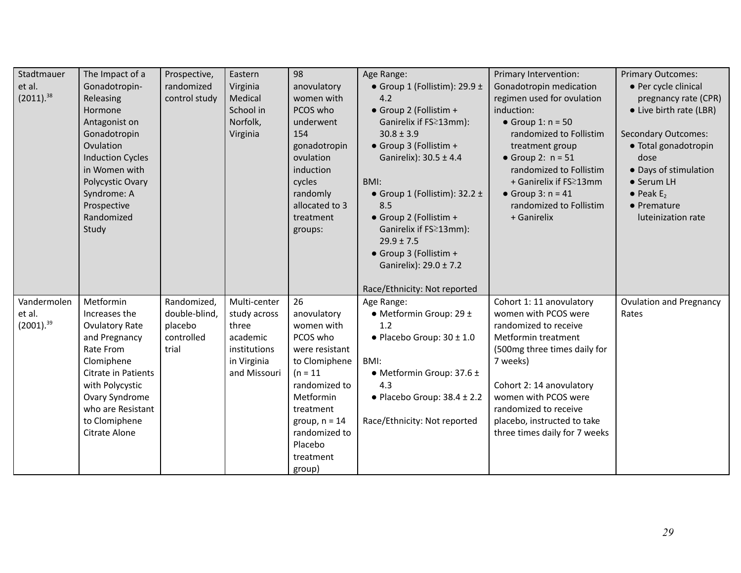| Stadtmauer<br>et al.<br>$(2011).$ <sup>38</sup> | The Impact of a<br>Gonadotropin-<br>Releasing<br>Hormone<br>Antagonist on<br>Gonadotropin<br>Ovulation<br><b>Induction Cycles</b><br>in Women with<br>Polycystic Ovary<br>Syndrome: A<br>Prospective<br>Randomized<br>Study | Prospective,<br>randomized<br>control study                    | Eastern<br>Virginia<br>Medical<br>School in<br>Norfolk,<br>Virginia                              | 98<br>anovulatory<br>women with<br>PCOS who<br>underwent<br>154<br>gonadotropin<br>ovulation<br>induction<br>cycles<br>randomly<br>allocated to 3<br>treatment<br>groups:                                     | Age Range:<br>• Group 1 (Follistim): 29.9 $\pm$<br>4.2<br>• Group 2 (Follistim +<br>Ganirelix if FS≥13mm):<br>$30.8 \pm 3.9$<br>• Group 3 (Follistim +<br>Ganirelix): 30.5 ± 4.4<br>BMI:<br>• Group 1 (Follistim): $32.2 \pm$<br>8.5<br>• Group 2 (Follistim +<br>Ganirelix if FS≥13mm):<br>$29.9 \pm 7.5$<br>• Group 3 (Follistim +<br>Ganirelix): 29.0 ± 7.2<br>Race/Ethnicity: Not reported | Primary Intervention:<br>Gonadotropin medication<br>regimen used for ovulation<br>induction:<br>$\bullet$ Group 1: n = 50<br>randomized to Follistim<br>treatment group<br>$\bullet$ Group 2: $n = 51$<br>randomized to Follistim<br>+ Ganirelix if FS 213mm<br>• Group $3: n = 41$<br>randomized to Follistim<br>+ Ganirelix | <b>Primary Outcomes:</b><br>• Per cycle clinical<br>pregnancy rate (CPR)<br>• Live birth rate (LBR)<br><b>Secondary Outcomes:</b><br>· Total gonadotropin<br>dose<br>• Days of stimulation<br>• Serum LH<br>$\bullet$ Peak E <sub>2</sub><br>• Premature<br>luteinization rate |
|-------------------------------------------------|-----------------------------------------------------------------------------------------------------------------------------------------------------------------------------------------------------------------------------|----------------------------------------------------------------|--------------------------------------------------------------------------------------------------|---------------------------------------------------------------------------------------------------------------------------------------------------------------------------------------------------------------|------------------------------------------------------------------------------------------------------------------------------------------------------------------------------------------------------------------------------------------------------------------------------------------------------------------------------------------------------------------------------------------------|-------------------------------------------------------------------------------------------------------------------------------------------------------------------------------------------------------------------------------------------------------------------------------------------------------------------------------|--------------------------------------------------------------------------------------------------------------------------------------------------------------------------------------------------------------------------------------------------------------------------------|
| Vandermolen<br>et al.<br>$(2001).^{39}$         | Metformin<br>Increases the<br><b>Ovulatory Rate</b><br>and Pregnancy<br>Rate From<br>Clomiphene<br>Citrate in Patients<br>with Polycystic<br>Ovary Syndrome<br>who are Resistant<br>to Clomiphene<br>Citrate Alone          | Randomized,<br>double-blind,<br>placebo<br>controlled<br>trial | Multi-center<br>study across<br>three<br>academic<br>institutions<br>in Virginia<br>and Missouri | 26<br>anovulatory<br>women with<br>PCOS who<br>were resistant<br>to Clomiphene<br>$(n = 11)$<br>randomized to<br>Metformin<br>treatment<br>group, $n = 14$<br>randomized to<br>Placebo<br>treatment<br>group) | Age Range:<br>$\bullet$ Metformin Group: 29 $\pm$<br>1.2<br>$\bullet$ Placebo Group: 30 $\pm$ 1.0<br>BMI:<br>• Metformin Group: $37.6 \pm$<br>4.3<br>$\bullet$ Placebo Group: 38.4 $\pm$ 2.2<br>Race/Ethnicity: Not reported                                                                                                                                                                   | Cohort 1: 11 anovulatory<br>women with PCOS were<br>randomized to receive<br>Metformin treatment<br>(500mg three times daily for<br>7 weeks)<br>Cohort 2: 14 anovulatory<br>women with PCOS were<br>randomized to receive<br>placebo, instructed to take<br>three times daily for 7 weeks                                     | <b>Ovulation and Pregnancy</b><br>Rates                                                                                                                                                                                                                                        |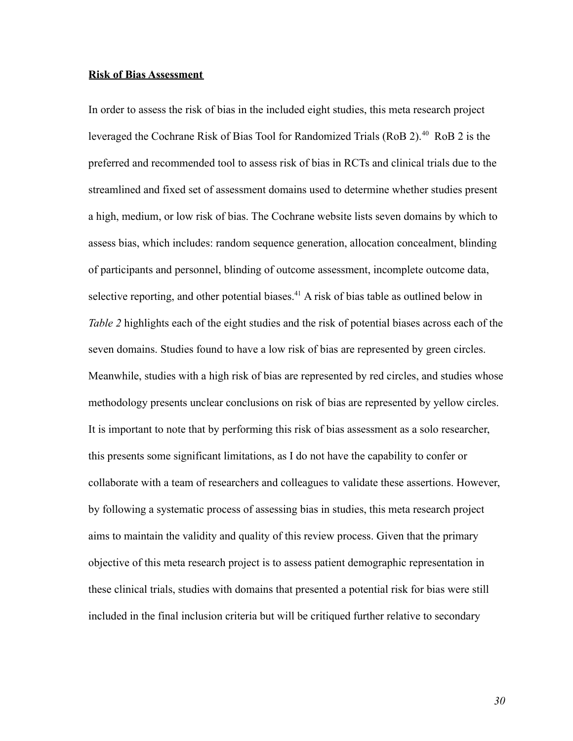#### **Risk of Bias Assessment**

In order to assess the risk of bias in the included eight studies, this meta research project leveraged the Cochrane Risk of Bias Tool for Randomized Trials (RoB 2).<sup>40</sup> RoB 2 is the preferred and recommended tool to assess risk of bias in RCTs and clinical trials due to the streamlined and fixed set of assessment domains used to determine whether studies present a high, medium, or low risk of bias. The Cochrane website lists seven domains by which to assess bias, which includes: random sequence generation, allocation concealment, blinding of participants and personnel, blinding of outcome assessment, incomplete outcome data, selective reporting, and other potential biases.<sup>41</sup> A risk of bias table as outlined below in *Table 2* highlights each of the eight studies and the risk of potential biases across each of the seven domains. Studies found to have a low risk of bias are represented by green circles. Meanwhile, studies with a high risk of bias are represented by red circles, and studies whose methodology presents unclear conclusions on risk of bias are represented by yellow circles. It is important to note that by performing this risk of bias assessment as a solo researcher, this presents some significant limitations, as I do not have the capability to confer or collaborate with a team of researchers and colleagues to validate these assertions. However, by following a systematic process of assessing bias in studies, this meta research project aims to maintain the validity and quality of this review process. Given that the primary objective of this meta research project is to assess patient demographic representation in these clinical trials, studies with domains that presented a potential risk for bias were still included in the final inclusion criteria but will be critiqued further relative to secondary

*30*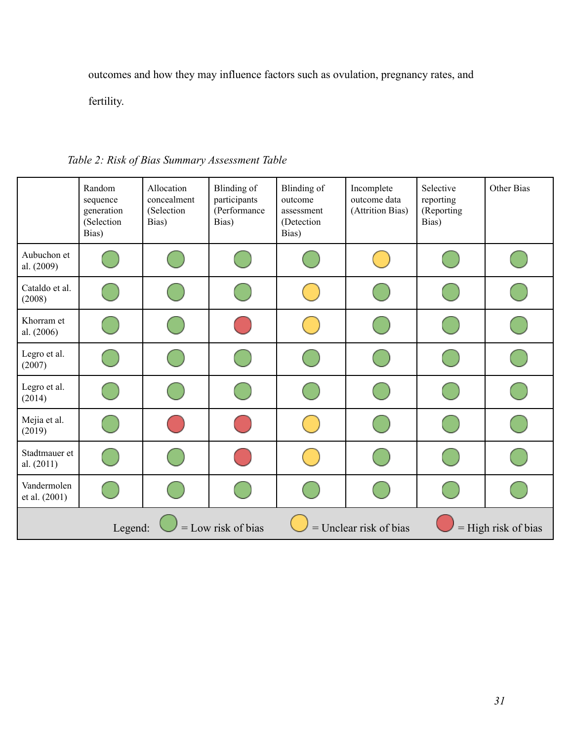outcomes and how they may influence factors such as ovulation, pregnancy rates, and

fertility.

|                                                                                      | Random<br>sequence<br>generation<br>(Selection<br>Bias) | Allocation<br>concealment<br>(Selection<br>Bias) | Blinding of<br>participants<br>(Performance<br>Bias) | Blinding of<br>outcome<br>assessment<br>(Detection<br>Bias) | Incomplete<br>outcome data<br>(Attrition Bias) | Selective<br>reporting<br>(Reporting<br>Bias) | Other Bias |
|--------------------------------------------------------------------------------------|---------------------------------------------------------|--------------------------------------------------|------------------------------------------------------|-------------------------------------------------------------|------------------------------------------------|-----------------------------------------------|------------|
| Aubuchon et<br>al. (2009)                                                            |                                                         |                                                  |                                                      |                                                             |                                                |                                               |            |
| Cataldo et al.<br>(2008)                                                             |                                                         |                                                  |                                                      |                                                             |                                                |                                               |            |
| Khorram et<br>al. (2006)                                                             |                                                         |                                                  |                                                      |                                                             |                                                |                                               |            |
| Legro et al.<br>(2007)                                                               |                                                         |                                                  |                                                      |                                                             |                                                |                                               |            |
| Legro et al.<br>(2014)                                                               |                                                         |                                                  |                                                      |                                                             |                                                |                                               |            |
| Mejia et al.<br>(2019)                                                               |                                                         |                                                  |                                                      |                                                             |                                                |                                               |            |
| Stadtmauer et<br>al. $(2011)$                                                        |                                                         |                                                  |                                                      |                                                             |                                                |                                               |            |
| Vandermolen<br>et al. (2001)                                                         |                                                         |                                                  |                                                      |                                                             |                                                |                                               |            |
| $=$ Low risk of bias<br>$=$ Unclear risk of bias<br>$=$ High risk of bias<br>Legend: |                                                         |                                                  |                                                      |                                                             |                                                |                                               |            |

*Table 2: Risk of Bias Summary Assessment Table*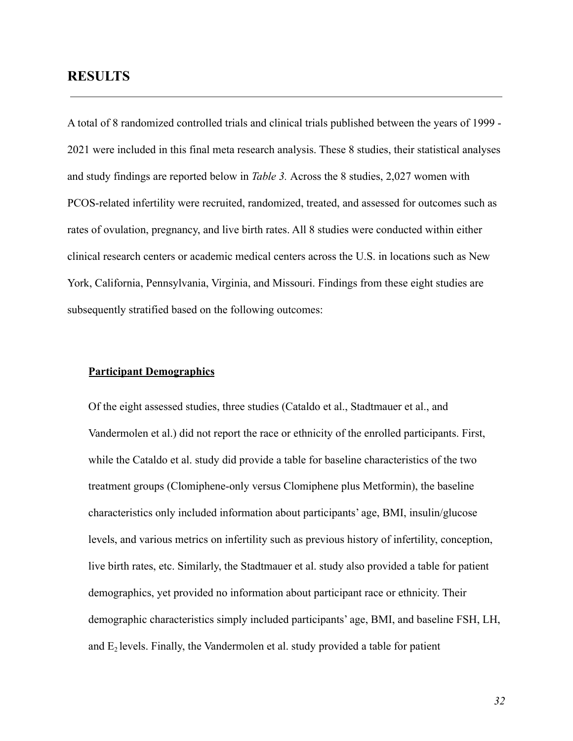### **RESULTS**

A total of 8 randomized controlled trials and clinical trials published between the years of 1999 - 2021 were included in this final meta research analysis. These 8 studies, their statistical analyses and study findings are reported below in *Table 3.* Across the 8 studies, 2,027 women with PCOS-related infertility were recruited, randomized, treated, and assessed for outcomes such as rates of ovulation, pregnancy, and live birth rates. All 8 studies were conducted within either clinical research centers or academic medical centers across the U.S. in locations such as New York, California, Pennsylvania, Virginia, and Missouri. Findings from these eight studies are subsequently stratified based on the following outcomes:

#### **Participant Demographics**

Of the eight assessed studies, three studies (Cataldo et al., Stadtmauer et al., and Vandermolen et al.) did not report the race or ethnicity of the enrolled participants. First, while the Cataldo et al. study did provide a table for baseline characteristics of the two treatment groups (Clomiphene-only versus Clomiphene plus Metformin), the baseline characteristics only included information about participants' age, BMI, insulin/glucose levels, and various metrics on infertility such as previous history of infertility, conception, live birth rates, etc. Similarly, the Stadtmauer et al. study also provided a table for patient demographics, yet provided no information about participant race or ethnicity. Their demographic characteristics simply included participants' age, BMI, and baseline FSH, LH, and  $E_2$  levels. Finally, the Vandermolen et al. study provided a table for patient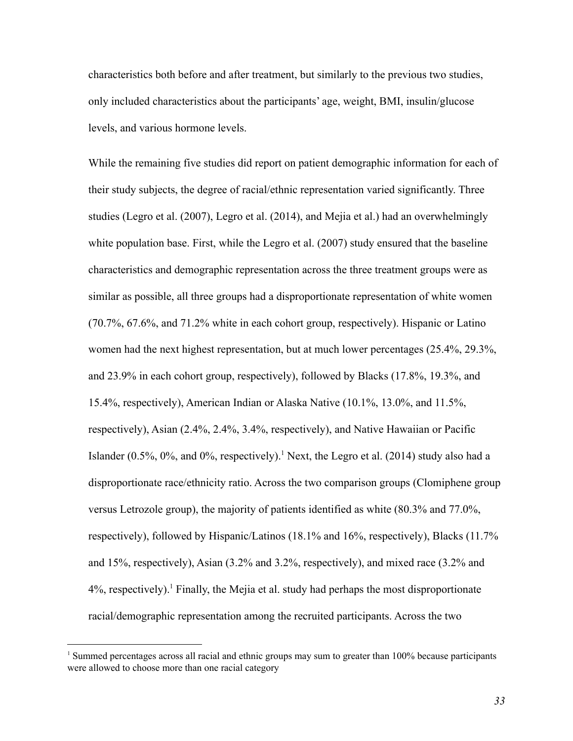characteristics both before and after treatment, but similarly to the previous two studies, only included characteristics about the participants' age, weight, BMI, insulin/glucose levels, and various hormone levels.

While the remaining five studies did report on patient demographic information for each of their study subjects, the degree of racial/ethnic representation varied significantly. Three studies (Legro et al. (2007), Legro et al. (2014), and Mejia et al.) had an overwhelmingly white population base. First, while the Legro et al. (2007) study ensured that the baseline characteristics and demographic representation across the three treatment groups were as similar as possible, all three groups had a disproportionate representation of white women (70.7%, 67.6%, and 71.2% white in each cohort group, respectively). Hispanic or Latino women had the next highest representation, but at much lower percentages (25.4%, 29.3%, and 23.9% in each cohort group, respectively), followed by Blacks (17.8%, 19.3%, and 15.4%, respectively), American Indian or Alaska Native (10.1%, 13.0%, and 11.5%, respectively), Asian (2.4%, 2.4%, 3.4%, respectively), and Native Hawaiian or Pacific Islander (0.5%, 0%, and 0%, respectively).<sup>1</sup> Next, the Legro et al. (2014) study also had a disproportionate race/ethnicity ratio. Across the two comparison groups (Clomiphene group versus Letrozole group), the majority of patients identified as white (80.3% and 77.0%, respectively), followed by Hispanic/Latinos (18.1% and 16%, respectively), Blacks (11.7% and 15%, respectively), Asian (3.2% and 3.2%, respectively), and mixed race (3.2% and  $4\%$ , respectively).<sup>1</sup> Finally, the Mejia et al. study had perhaps the most disproportionate racial/demographic representation among the recruited participants. Across the two

<sup>&</sup>lt;sup>1</sup> Summed percentages across all racial and ethnic groups may sum to greater than 100% because participants were allowed to choose more than one racial category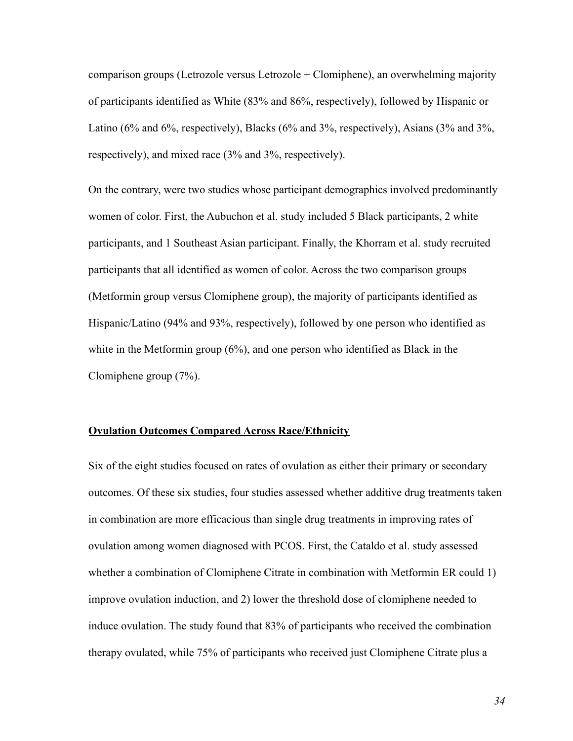comparison groups (Letrozole versus Letrozole + Clomiphene), an overwhelming majority of participants identified as White (83% and 86%, respectively), followed by Hispanic or Latino (6% and 6%, respectively), Blacks (6% and 3%, respectively), Asians (3% and 3%, respectively), and mixed race (3% and 3%, respectively).

On the contrary, were two studies whose participant demographics involved predominantly women of color. First, the Aubuchon et al. study included 5 Black participants, 2 white participants, and 1 Southeast Asian participant. Finally, the Khorram et al. study recruited participants that all identified as women of color. Across the two comparison groups (Metformin group versus Clomiphene group), the majority of participants identified as Hispanic/Latino (94% and 93%, respectively), followed by one person who identified as white in the Metformin group (6%), and one person who identified as Black in the Clomiphene group (7%).

#### **Ovulation Outcomes Compared Across Race/Ethnicity**

Six of the eight studies focused on rates of ovulation as either their primary or secondary outcomes. Of these six studies, four studies assessed whether additive drug treatments taken in combination are more efficacious than single drug treatments in improving rates of ovulation among women diagnosed with PCOS. First, the Cataldo et al. study assessed whether a combination of Clomiphene Citrate in combination with Metformin ER could 1) improve ovulation induction, and 2) lower the threshold dose of clomiphene needed to induce ovulation. The study found that 83% of participants who received the combination therapy ovulated, while 75% of participants who received just Clomiphene Citrate plus a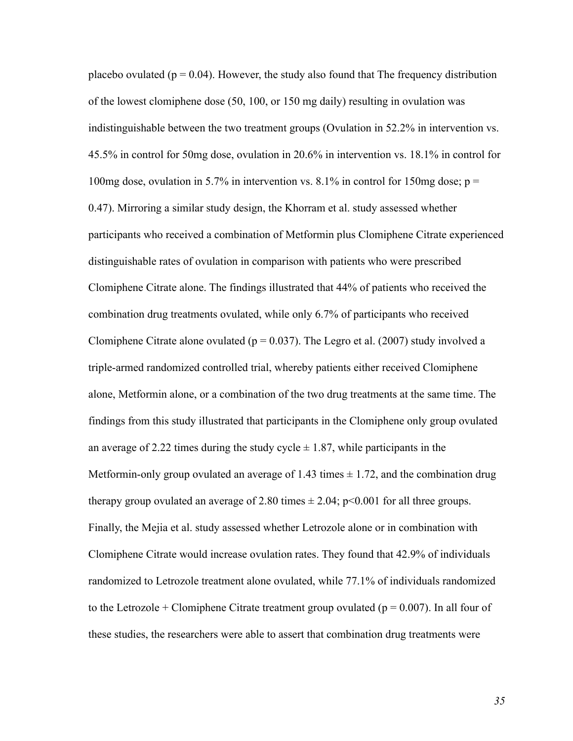placebo ovulated ( $p = 0.04$ ). However, the study also found that The frequency distribution of the lowest clomiphene dose (50, 100, or 150 mg daily) resulting in ovulation was indistinguishable between the two treatment groups (Ovulation in 52.2% in intervention vs. 45.5% in control for 50mg dose, ovulation in 20.6% in intervention vs. 18.1% in control for 100mg dose, ovulation in 5.7% in intervention vs.  $8.1\%$  in control for 150mg dose; p = 0.47). Mirroring a similar study design, the Khorram et al. study assessed whether participants who received a combination of Metformin plus Clomiphene Citrate experienced distinguishable rates of ovulation in comparison with patients who were prescribed Clomiphene Citrate alone. The findings illustrated that 44% of patients who received the combination drug treatments ovulated, while only 6.7% of participants who received Clomiphene Citrate alone ovulated ( $p = 0.037$ ). The Legro et al. (2007) study involved a triple-armed randomized controlled trial, whereby patients either received Clomiphene alone, Metformin alone, or a combination of the two drug treatments at the same time. The findings from this study illustrated that participants in the Clomiphene only group ovulated an average of 2.22 times during the study cycle  $\pm$  1.87, while participants in the Metformin-only group ovulated an average of 1.43 times  $\pm$  1.72, and the combination drug therapy group ovulated an average of 2.80 times  $\pm$  2.04; p<0.001 for all three groups. Finally, the Mejia et al. study assessed whether Letrozole alone or in combination with Clomiphene Citrate would increase ovulation rates. They found that 42.9% of individuals randomized to Letrozole treatment alone ovulated, while 77.1% of individuals randomized to the Letrozole + Clomiphene Citrate treatment group ovulated ( $p = 0.007$ ). In all four of these studies, the researchers were able to assert that combination drug treatments were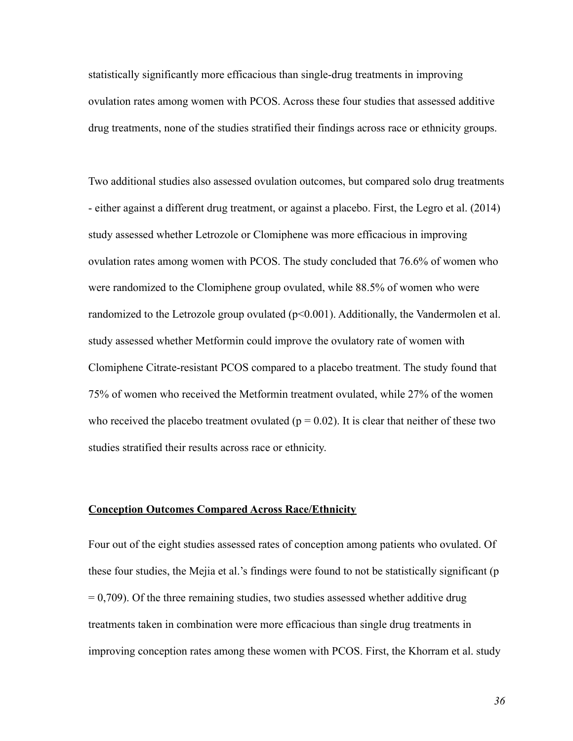statistically significantly more efficacious than single-drug treatments in improving ovulation rates among women with PCOS. Across these four studies that assessed additive drug treatments, none of the studies stratified their findings across race or ethnicity groups.

Two additional studies also assessed ovulation outcomes, but compared solo drug treatments - either against a different drug treatment, or against a placebo. First, the Legro et al. (2014) study assessed whether Letrozole or Clomiphene was more efficacious in improving ovulation rates among women with PCOS. The study concluded that 76.6% of women who were randomized to the Clomiphene group ovulated, while 88.5% of women who were randomized to the Letrozole group ovulated (p<0.001). Additionally, the Vandermolen et al. study assessed whether Metformin could improve the ovulatory rate of women with Clomiphene Citrate-resistant PCOS compared to a placebo treatment. The study found that 75% of women who received the Metformin treatment ovulated, while 27% of the women who received the placebo treatment ovulated ( $p = 0.02$ ). It is clear that neither of these two studies stratified their results across race or ethnicity.

#### **Conception Outcomes Compared Across Race/Ethnicity**

Four out of the eight studies assessed rates of conception among patients who ovulated. Of these four studies, the Mejia et al.'s findings were found to not be statistically significant (p  $= 0.709$ ). Of the three remaining studies, two studies assessed whether additive drug treatments taken in combination were more efficacious than single drug treatments in improving conception rates among these women with PCOS. First, the Khorram et al. study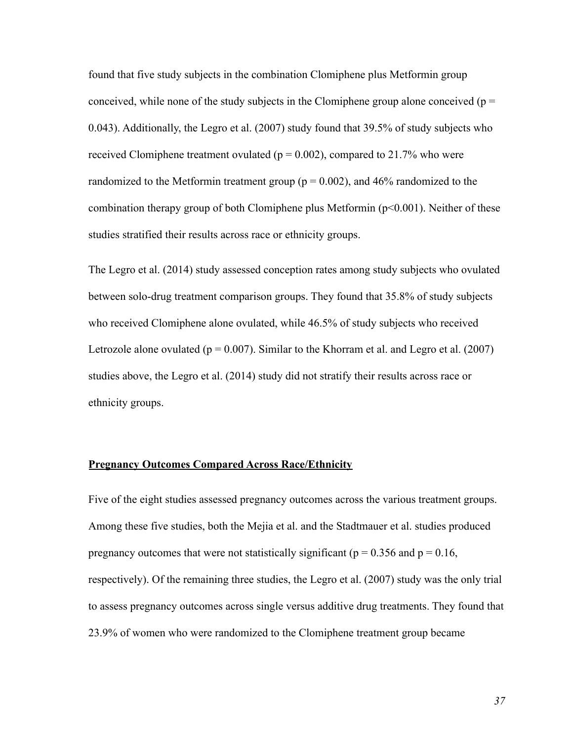found that five study subjects in the combination Clomiphene plus Metformin group conceived, while none of the study subjects in the Clomiphene group alone conceived ( $p =$ 0.043). Additionally, the Legro et al. (2007) study found that 39.5% of study subjects who received Clomiphene treatment ovulated ( $p = 0.002$ ), compared to 21.7% who were randomized to the Metformin treatment group ( $p = 0.002$ ), and 46% randomized to the combination therapy group of both Clomiphene plus Metformin (p<0.001). Neither of these studies stratified their results across race or ethnicity groups.

The Legro et al. (2014) study assessed conception rates among study subjects who ovulated between solo-drug treatment comparison groups. They found that 35.8% of study subjects who received Clomiphene alone ovulated, while 46.5% of study subjects who received Letrozole alone ovulated ( $p = 0.007$ ). Similar to the Khorram et al. and Legro et al. (2007) studies above, the Legro et al. (2014) study did not stratify their results across race or ethnicity groups.

#### **Pregnancy Outcomes Compared Across Race/Ethnicity**

Five of the eight studies assessed pregnancy outcomes across the various treatment groups. Among these five studies, both the Mejia et al. and the Stadtmauer et al. studies produced pregnancy outcomes that were not statistically significant ( $p = 0.356$  and  $p = 0.16$ , respectively). Of the remaining three studies, the Legro et al. (2007) study was the only trial to assess pregnancy outcomes across single versus additive drug treatments. They found that 23.9% of women who were randomized to the Clomiphene treatment group became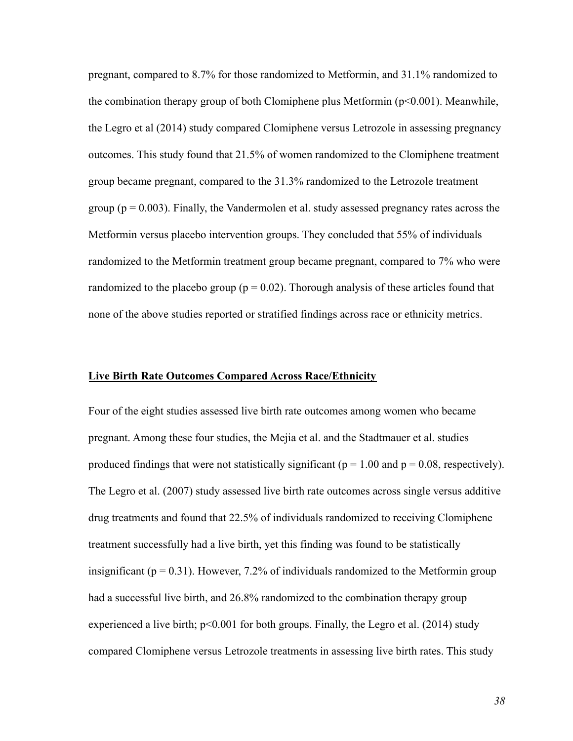pregnant, compared to 8.7% for those randomized to Metformin, and 31.1% randomized to the combination therapy group of both Clomiphene plus Metformin ( $p<0.001$ ). Meanwhile, the Legro et al (2014) study compared Clomiphene versus Letrozole in assessing pregnancy outcomes. This study found that 21.5% of women randomized to the Clomiphene treatment group became pregnant, compared to the 31.3% randomized to the Letrozole treatment group ( $p = 0.003$ ). Finally, the Vandermolen et al. study assessed pregnancy rates across the Metformin versus placebo intervention groups. They concluded that 55% of individuals randomized to the Metformin treatment group became pregnant, compared to 7% who were randomized to the placebo group ( $p = 0.02$ ). Thorough analysis of these articles found that none of the above studies reported or stratified findings across race or ethnicity metrics.

#### **Live Birth Rate Outcomes Compared Across Race/Ethnicity**

Four of the eight studies assessed live birth rate outcomes among women who became pregnant. Among these four studies, the Mejia et al. and the Stadtmauer et al. studies produced findings that were not statistically significant ( $p = 1.00$  and  $p = 0.08$ , respectively). The Legro et al. (2007) study assessed live birth rate outcomes across single versus additive drug treatments and found that 22.5% of individuals randomized to receiving Clomiphene treatment successfully had a live birth, yet this finding was found to be statistically insignificant ( $p = 0.31$ ). However, 7.2% of individuals randomized to the Metformin group had a successful live birth, and 26.8% randomized to the combination therapy group experienced a live birth;  $p<0.001$  for both groups. Finally, the Legro et al. (2014) study compared Clomiphene versus Letrozole treatments in assessing live birth rates. This study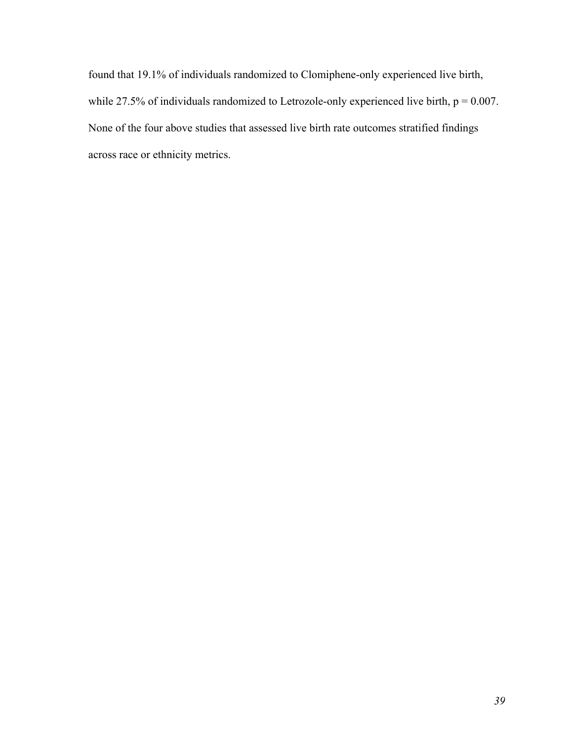found that 19.1% of individuals randomized to Clomiphene-only experienced live birth, while 27.5% of individuals randomized to Letrozole-only experienced live birth,  $p = 0.007$ . None of the four above studies that assessed live birth rate outcomes stratified findings across race or ethnicity metrics.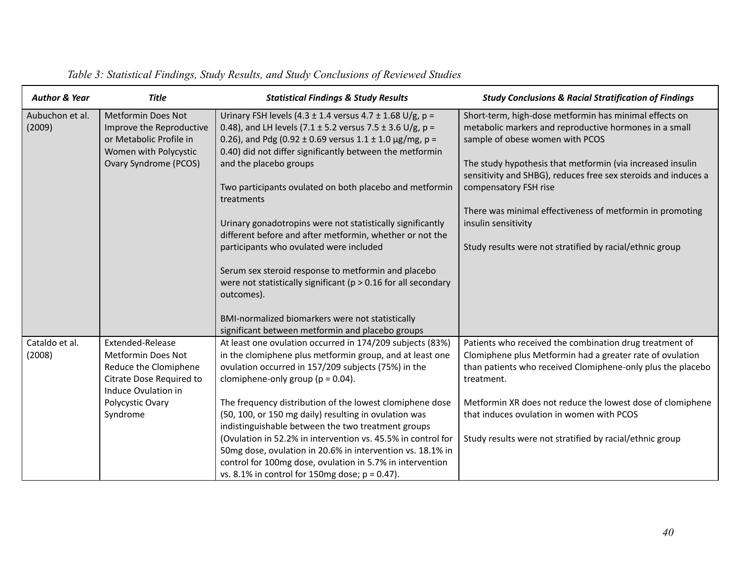| <b>Author &amp; Year</b>  | <b>Title</b>                                                                                                                                              | <b>Statistical Findings &amp; Study Results</b>                                                                                                                                                                                                                                                                                                                                                                                                                                                                                                                                                                                                                                                                        | <b>Study Conclusions &amp; Racial Stratification of Findings</b>                                                                                                                                                                                                                                                                                                                                                                                             |
|---------------------------|-----------------------------------------------------------------------------------------------------------------------------------------------------------|------------------------------------------------------------------------------------------------------------------------------------------------------------------------------------------------------------------------------------------------------------------------------------------------------------------------------------------------------------------------------------------------------------------------------------------------------------------------------------------------------------------------------------------------------------------------------------------------------------------------------------------------------------------------------------------------------------------------|--------------------------------------------------------------------------------------------------------------------------------------------------------------------------------------------------------------------------------------------------------------------------------------------------------------------------------------------------------------------------------------------------------------------------------------------------------------|
| Aubuchon et al.<br>(2009) | Metformin Does Not<br>Improve the Reproductive<br>or Metabolic Profile in<br>Women with Polycystic<br><b>Ovary Syndrome (PCOS)</b>                        | Urinary FSH levels (4.3 ± 1.4 versus 4.7 ± 1.68 U/g, p =<br>0.48), and LH levels (7.1 ± 5.2 versus 7.5 ± 3.6 U/g, p =<br>0.26), and Pdg (0.92 ± 0.69 versus $1.1 \pm 1.0$ µg/mg, p =<br>0.40) did not differ significantly between the metformin<br>and the placebo groups<br>Two participants ovulated on both placebo and metformin<br>treatments<br>Urinary gonadotropins were not statistically significantly<br>different before and after metformin, whether or not the<br>participants who ovulated were included<br>Serum sex steroid response to metformin and placebo<br>were not statistically significant ( $p > 0.16$ for all secondary<br>outcomes).<br>BMI-normalized biomarkers were not statistically | Short-term, high-dose metformin has minimal effects on<br>metabolic markers and reproductive hormones in a small<br>sample of obese women with PCOS<br>The study hypothesis that metformin (via increased insulin<br>sensitivity and SHBG), reduces free sex steroids and induces a<br>compensatory FSH rise<br>There was minimal effectiveness of metformin in promoting<br>insulin sensitivity<br>Study results were not stratified by racial/ethnic group |
| Cataldo et al.<br>(2008)  | Extended-Release<br><b>Metformin Does Not</b><br>Reduce the Clomiphene<br>Citrate Dose Required to<br>Induce Ovulation in<br>Polycystic Ovary<br>Syndrome | significant between metformin and placebo groups<br>At least one ovulation occurred in 174/209 subjects (83%)<br>in the clomiphene plus metformin group, and at least one<br>ovulation occurred in 157/209 subjects (75%) in the<br>clomiphene-only group ( $p = 0.04$ ).<br>The frequency distribution of the lowest clomiphene dose<br>(50, 100, or 150 mg daily) resulting in ovulation was<br>indistinguishable between the two treatment groups<br>(Ovulation in 52.2% in intervention vs. 45.5% in control for<br>50mg dose, ovulation in 20.6% in intervention vs. 18.1% in<br>control for 100mg dose, ovulation in 5.7% in intervention<br>vs. 8.1% in control for 150mg dose; $p = 0.47$ ).                   | Patients who received the combination drug treatment of<br>Clomiphene plus Metformin had a greater rate of ovulation<br>than patients who received Clomiphene-only plus the placebo<br>treatment.<br>Metformin XR does not reduce the lowest dose of clomiphene<br>that induces ovulation in women with PCOS<br>Study results were not stratified by racial/ethnic group                                                                                     |

# *Table 3: Statistical Findings, Study Results, and Study Conclusions of Reviewed Studies*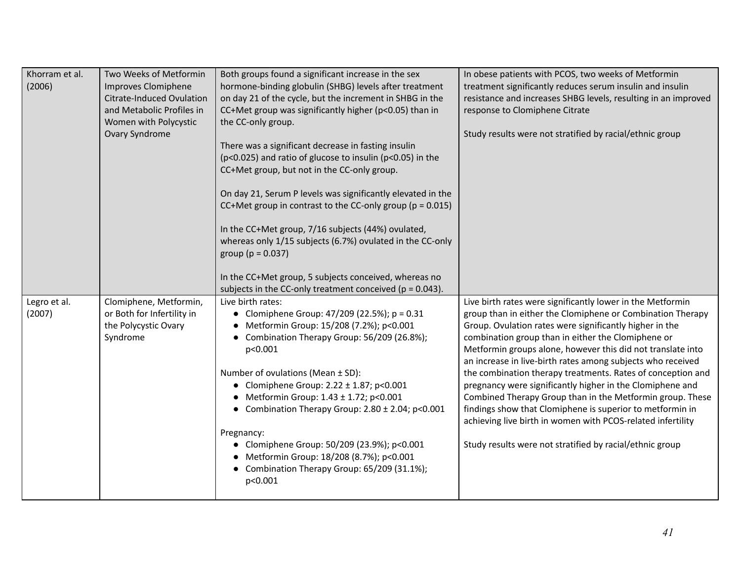| Khorram et al.<br>(2006) | Two Weeks of Metformin<br>Improves Clomiphene<br><b>Citrate-Induced Ovulation</b><br>and Metabolic Profiles in<br>Women with Polycystic<br>Ovary Syndrome | Both groups found a significant increase in the sex<br>hormone-binding globulin (SHBG) levels after treatment<br>on day 21 of the cycle, but the increment in SHBG in the<br>CC+Met group was significantly higher (p<0.05) than in<br>the CC-only group.<br>There was a significant decrease in fasting insulin<br>(p<0.025) and ratio of glucose to insulin (p<0.05) in the<br>CC+Met group, but not in the CC-only group.<br>On day 21, Serum P levels was significantly elevated in the<br>CC+Met group in contrast to the CC-only group ( $p = 0.015$ )<br>In the CC+Met group, 7/16 subjects (44%) ovulated,<br>whereas only 1/15 subjects (6.7%) ovulated in the CC-only<br>group ( $p = 0.037$ )<br>In the CC+Met group, 5 subjects conceived, whereas no<br>subjects in the CC-only treatment conceived ( $p = 0.043$ ). | In obese patients with PCOS, two weeks of Metformin<br>treatment significantly reduces serum insulin and insulin<br>resistance and increases SHBG levels, resulting in an improved<br>response to Clomiphene Citrate<br>Study results were not stratified by racial/ethnic group                                                                                                                                                                                                                                                                                                                                                                                                                                                                         |
|--------------------------|-----------------------------------------------------------------------------------------------------------------------------------------------------------|-----------------------------------------------------------------------------------------------------------------------------------------------------------------------------------------------------------------------------------------------------------------------------------------------------------------------------------------------------------------------------------------------------------------------------------------------------------------------------------------------------------------------------------------------------------------------------------------------------------------------------------------------------------------------------------------------------------------------------------------------------------------------------------------------------------------------------------|----------------------------------------------------------------------------------------------------------------------------------------------------------------------------------------------------------------------------------------------------------------------------------------------------------------------------------------------------------------------------------------------------------------------------------------------------------------------------------------------------------------------------------------------------------------------------------------------------------------------------------------------------------------------------------------------------------------------------------------------------------|
| Legro et al.<br>(2007)   | Clomiphene, Metformin,<br>or Both for Infertility in<br>the Polycystic Ovary<br>Syndrome                                                                  | Live birth rates:<br>• Clomiphene Group: $47/209$ (22.5%); p = 0.31<br>Metformin Group: 15/208 (7.2%); p<0.001<br>Combination Therapy Group: 56/209 (26.8%);<br>p<0.001<br>Number of ovulations (Mean ± SD):<br>• Clomiphene Group: $2.22 \pm 1.87$ ; p<0.001<br>Metformin Group: 1.43 ± 1.72; p<0.001<br>• Combination Therapy Group: $2.80 \pm 2.04$ ; p<0.001<br>Pregnancy:<br>• Clomiphene Group: 50/209 (23.9%); p<0.001<br>Metformin Group: 18/208 (8.7%); p<0.001<br>Combination Therapy Group: 65/209 (31.1%);<br>p<0.001                                                                                                                                                                                                                                                                                                 | Live birth rates were significantly lower in the Metformin<br>group than in either the Clomiphene or Combination Therapy<br>Group. Ovulation rates were significantly higher in the<br>combination group than in either the Clomiphene or<br>Metformin groups alone, however this did not translate into<br>an increase in live-birth rates among subjects who received<br>the combination therapy treatments. Rates of conception and<br>pregnancy were significantly higher in the Clomiphene and<br>Combined Therapy Group than in the Metformin group. These<br>findings show that Clomiphene is superior to metformin in<br>achieving live birth in women with PCOS-related infertility<br>Study results were not stratified by racial/ethnic group |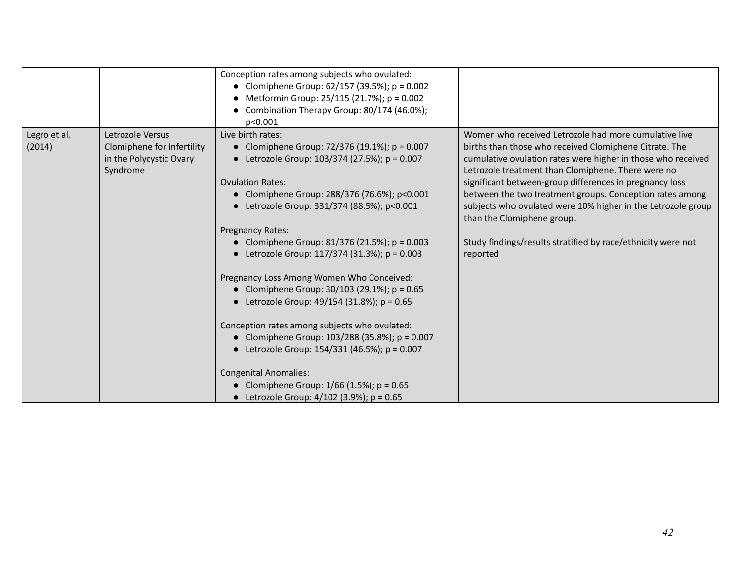|                        |                                                                                       | Conception rates among subjects who ovulated:<br>• Clomiphene Group: $62/157$ (39.5%); p = 0.002<br>Metformin Group: 25/115 (21.7%); p = 0.002<br>Combination Therapy Group: 80/174 (46.0%);<br>p<0.001                                                                                                                                                                                                                                                                                                                                                                                                                                                                                                                                                                                                           |                                                                                                                                                                                                                                                                                                                                                                                                                                                                                                                                        |
|------------------------|---------------------------------------------------------------------------------------|-------------------------------------------------------------------------------------------------------------------------------------------------------------------------------------------------------------------------------------------------------------------------------------------------------------------------------------------------------------------------------------------------------------------------------------------------------------------------------------------------------------------------------------------------------------------------------------------------------------------------------------------------------------------------------------------------------------------------------------------------------------------------------------------------------------------|----------------------------------------------------------------------------------------------------------------------------------------------------------------------------------------------------------------------------------------------------------------------------------------------------------------------------------------------------------------------------------------------------------------------------------------------------------------------------------------------------------------------------------------|
| Legro et al.<br>(2014) | Letrozole Versus<br>Clomiphene for Infertility<br>in the Polycystic Ovary<br>Syndrome | Live birth rates:<br>• Clomiphene Group: $72/376$ (19.1%); p = 0.007<br>• Letrozole Group: $103/374$ (27.5%); p = 0.007<br><b>Ovulation Rates:</b><br>• Clomiphene Group: 288/376 (76.6%); p<0.001<br>• Letrozole Group: 331/374 (88.5%); p<0.001<br>Pregnancy Rates:<br>• Clomiphene Group: 81/376 (21.5%); $p = 0.003$<br>• Letrozole Group: 117/374 (31.3%); $p = 0.003$<br>Pregnancy Loss Among Women Who Conceived:<br>• Clomiphene Group: $30/103$ (29.1%); p = 0.65<br>• Letrozole Group: $49/154$ (31.8%); p = 0.65<br>Conception rates among subjects who ovulated:<br>• Clomiphene Group: $103/288$ (35.8%); p = 0.007<br>• Letrozole Group: $154/331$ (46.5%); p = 0.007<br><b>Congenital Anomalies:</b><br>• Clomiphene Group: $1/66$ (1.5%); p = 0.65<br>• Letrozole Group: $4/102$ (3.9%); p = 0.65 | Women who received Letrozole had more cumulative live<br>births than those who received Clomiphene Citrate. The<br>cumulative ovulation rates were higher in those who received<br>Letrozole treatment than Clomiphene. There were no<br>significant between-group differences in pregnancy loss<br>between the two treatment groups. Conception rates among<br>subjects who ovulated were 10% higher in the Letrozole group<br>than the Clomiphene group.<br>Study findings/results stratified by race/ethnicity were not<br>reported |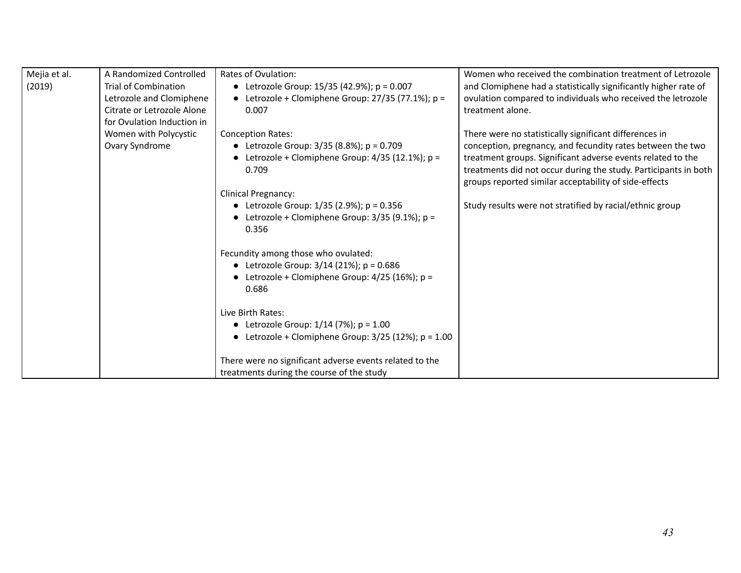| Mejia et al. | A Randomized Controlled     | Rates of Ovulation:                                     | Women who received the combination treatment of Letrozole       |
|--------------|-----------------------------|---------------------------------------------------------|-----------------------------------------------------------------|
| (2019)       | <b>Trial of Combination</b> | • Letrozole Group: $15/35$ (42.9%); p = 0.007           | and Clomiphene had a statistically significantly higher rate of |
|              | Letrozole and Clomiphene    | • Letrozole + Clomiphene Group: $27/35$ (77.1%); p =    | ovulation compared to individuals who received the letrozole    |
|              | Citrate or Letrozole Alone  | 0.007                                                   | treatment alone.                                                |
|              | for Ovulation Induction in  |                                                         |                                                                 |
|              | Women with Polycystic       | <b>Conception Rates:</b>                                | There were no statistically significant differences in          |
|              | Ovary Syndrome              | • Letrozole Group: $3/35$ (8.8%); p = 0.709             | conception, pregnancy, and fecundity rates between the two      |
|              |                             | Letrozole + Clomiphene Group: 4/35 (12.1%); p =         | treatment groups. Significant adverse events related to the     |
|              |                             | 0.709                                                   | treatments did not occur during the study. Participants in both |
|              |                             |                                                         | groups reported similar acceptability of side-effects           |
|              |                             | <b>Clinical Pregnancy:</b>                              |                                                                 |
|              |                             | • Letrozole Group: $1/35$ (2.9%); p = 0.356             | Study results were not stratified by racial/ethnic group        |
|              |                             | Letrozole + Clomiphene Group: $3/35$ (9.1%); p =        |                                                                 |
|              |                             | 0.356                                                   |                                                                 |
|              |                             |                                                         |                                                                 |
|              |                             | Fecundity among those who ovulated:                     |                                                                 |
|              |                             | • Letrozole Group: $3/14$ (21%); p = 0.686              |                                                                 |
|              |                             | Letrozole + Clomiphene Group: 4/25 (16%); p =           |                                                                 |
|              |                             | 0.686                                                   |                                                                 |
|              |                             |                                                         |                                                                 |
|              |                             | Live Birth Rates:                                       |                                                                 |
|              |                             | • Letrozole Group: $1/14$ (7%); $p = 1.00$              |                                                                 |
|              |                             | • Letrozole + Clomiphene Group: $3/25$ (12%); p = 1.00  |                                                                 |
|              |                             |                                                         |                                                                 |
|              |                             | There were no significant adverse events related to the |                                                                 |
|              |                             | treatments during the course of the study               |                                                                 |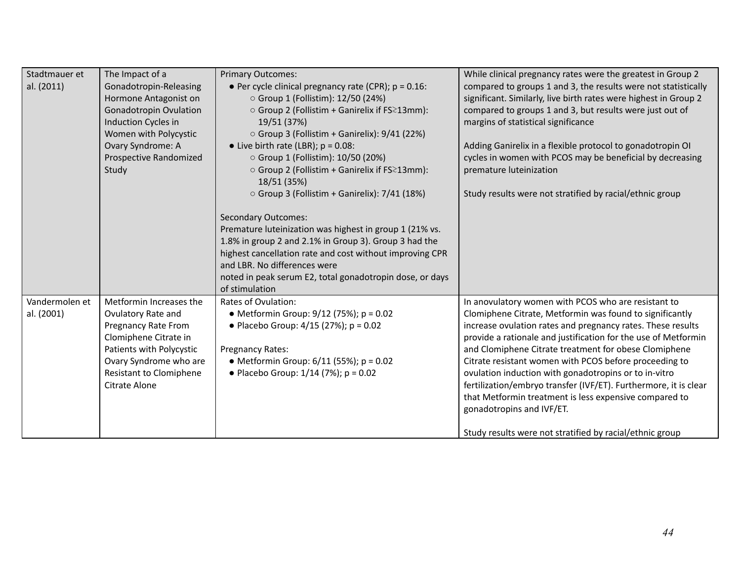| Stadtmauer et<br>al. (2011)  | The Impact of a<br>Gonadotropin-Releasing<br>Hormone Antagonist on<br><b>Gonadotropin Ovulation</b><br>Induction Cycles in<br>Women with Polycystic<br>Ovary Syndrome: A<br>Prospective Randomized<br>Study | <b>Primary Outcomes:</b><br>• Per cycle clinical pregnancy rate (CPR); $p = 0.16$ :<br>○ Group 1 (Follistim): 12/50 (24%)<br>○ Group 2 (Follistim + Ganirelix if FS 213mm):<br>19/51 (37%)<br>○ Group 3 (Follistim + Ganirelix): 9/41 (22%)<br>• Live birth rate (LBR); $p = 0.08$ :<br>○ Group 1 (Follistim): 10/50 (20%)<br>○ Group 2 (Follistim + Ganirelix if FS 213mm):<br>18/51 (35%)<br>$\circ$ Group 3 (Follistim + Ganirelix): 7/41 (18%)<br><b>Secondary Outcomes:</b><br>Premature luteinization was highest in group 1 (21% vs.<br>1.8% in group 2 and 2.1% in Group 3). Group 3 had the<br>highest cancellation rate and cost without improving CPR<br>and LBR. No differences were<br>noted in peak serum E2, total gonadotropin dose, or days<br>of stimulation | While clinical pregnancy rates were the greatest in Group 2<br>compared to groups 1 and 3, the results were not statistically<br>significant. Similarly, live birth rates were highest in Group 2<br>compared to groups 1 and 3, but results were just out of<br>margins of statistical significance<br>Adding Ganirelix in a flexible protocol to gonadotropin OI<br>cycles in women with PCOS may be beneficial by decreasing<br>premature luteinization<br>Study results were not stratified by racial/ethnic group                                                                                                                              |
|------------------------------|-------------------------------------------------------------------------------------------------------------------------------------------------------------------------------------------------------------|--------------------------------------------------------------------------------------------------------------------------------------------------------------------------------------------------------------------------------------------------------------------------------------------------------------------------------------------------------------------------------------------------------------------------------------------------------------------------------------------------------------------------------------------------------------------------------------------------------------------------------------------------------------------------------------------------------------------------------------------------------------------------------|-----------------------------------------------------------------------------------------------------------------------------------------------------------------------------------------------------------------------------------------------------------------------------------------------------------------------------------------------------------------------------------------------------------------------------------------------------------------------------------------------------------------------------------------------------------------------------------------------------------------------------------------------------|
| Vandermolen et<br>al. (2001) | Metformin Increases the<br>Ovulatory Rate and<br>Pregnancy Rate From<br>Clomiphene Citrate in<br>Patients with Polycystic<br>Ovary Syndrome who are<br>Resistant to Clomiphene<br>Citrate Alone             | Rates of Ovulation:<br>• Metformin Group: $9/12$ (75%); p = 0.02<br>• Placebo Group: $4/15$ (27%); p = 0.02<br>Pregnancy Rates:<br>• Metformin Group: $6/11$ (55%); p = 0.02<br>• Placebo Group: $1/14$ (7%); p = 0.02                                                                                                                                                                                                                                                                                                                                                                                                                                                                                                                                                         | In anovulatory women with PCOS who are resistant to<br>Clomiphene Citrate, Metformin was found to significantly<br>increase ovulation rates and pregnancy rates. These results<br>provide a rationale and justification for the use of Metformin<br>and Clomiphene Citrate treatment for obese Clomiphene<br>Citrate resistant women with PCOS before proceeding to<br>ovulation induction with gonadotropins or to in-vitro<br>fertilization/embryo transfer (IVF/ET). Furthermore, it is clear<br>that Metformin treatment is less expensive compared to<br>gonadotropins and IVF/ET.<br>Study results were not stratified by racial/ethnic group |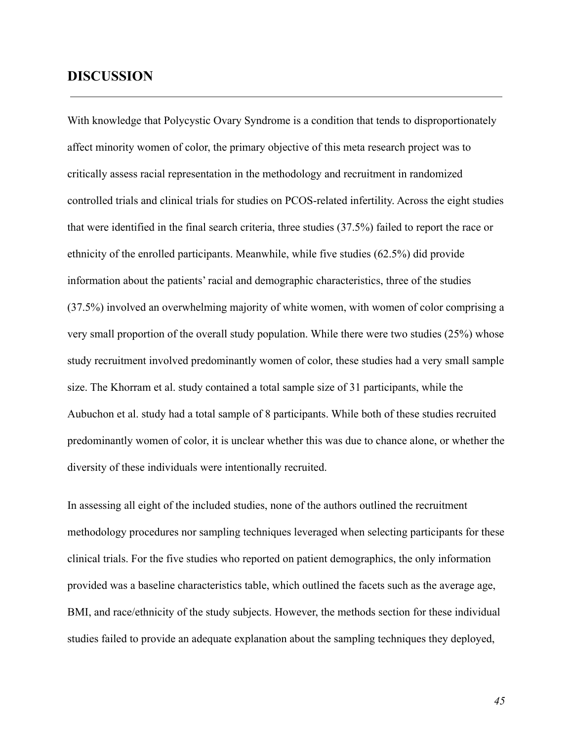### **DISCUSSION**

With knowledge that Polycystic Ovary Syndrome is a condition that tends to disproportionately affect minority women of color, the primary objective of this meta research project was to critically assess racial representation in the methodology and recruitment in randomized controlled trials and clinical trials for studies on PCOS-related infertility. Across the eight studies that were identified in the final search criteria, three studies (37.5%) failed to report the race or ethnicity of the enrolled participants. Meanwhile, while five studies (62.5%) did provide information about the patients' racial and demographic characteristics, three of the studies (37.5%) involved an overwhelming majority of white women, with women of color comprising a very small proportion of the overall study population. While there were two studies (25%) whose study recruitment involved predominantly women of color, these studies had a very small sample size. The Khorram et al. study contained a total sample size of 31 participants, while the Aubuchon et al. study had a total sample of 8 participants. While both of these studies recruited predominantly women of color, it is unclear whether this was due to chance alone, or whether the diversity of these individuals were intentionally recruited.

In assessing all eight of the included studies, none of the authors outlined the recruitment methodology procedures nor sampling techniques leveraged when selecting participants for these clinical trials. For the five studies who reported on patient demographics, the only information provided was a baseline characteristics table, which outlined the facets such as the average age, BMI, and race/ethnicity of the study subjects. However, the methods section for these individual studies failed to provide an adequate explanation about the sampling techniques they deployed,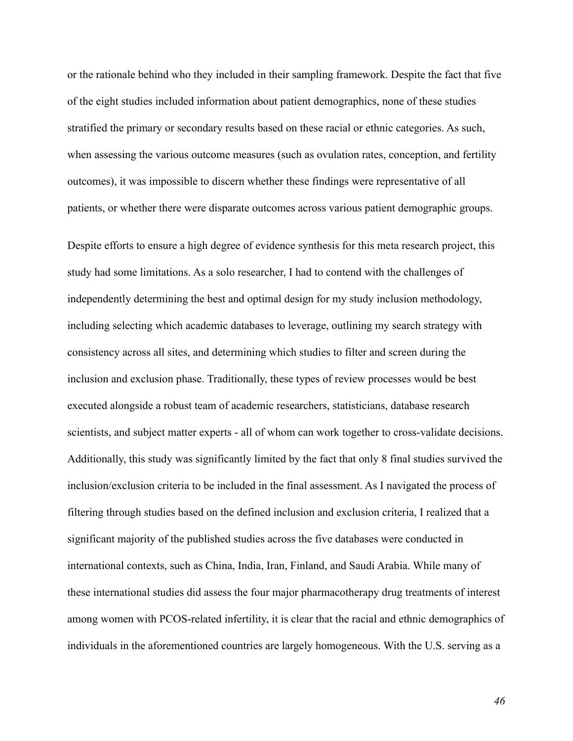or the rationale behind who they included in their sampling framework. Despite the fact that five of the eight studies included information about patient demographics, none of these studies stratified the primary or secondary results based on these racial or ethnic categories. As such, when assessing the various outcome measures (such as ovulation rates, conception, and fertility outcomes), it was impossible to discern whether these findings were representative of all patients, or whether there were disparate outcomes across various patient demographic groups.

Despite efforts to ensure a high degree of evidence synthesis for this meta research project, this study had some limitations. As a solo researcher, I had to contend with the challenges of independently determining the best and optimal design for my study inclusion methodology, including selecting which academic databases to leverage, outlining my search strategy with consistency across all sites, and determining which studies to filter and screen during the inclusion and exclusion phase. Traditionally, these types of review processes would be best executed alongside a robust team of academic researchers, statisticians, database research scientists, and subject matter experts - all of whom can work together to cross-validate decisions. Additionally, this study was significantly limited by the fact that only 8 final studies survived the inclusion/exclusion criteria to be included in the final assessment. As I navigated the process of filtering through studies based on the defined inclusion and exclusion criteria, I realized that a significant majority of the published studies across the five databases were conducted in international contexts, such as China, India, Iran, Finland, and Saudi Arabia. While many of these international studies did assess the four major pharmacotherapy drug treatments of interest among women with PCOS-related infertility, it is clear that the racial and ethnic demographics of individuals in the aforementioned countries are largely homogeneous. With the U.S. serving as a

*46*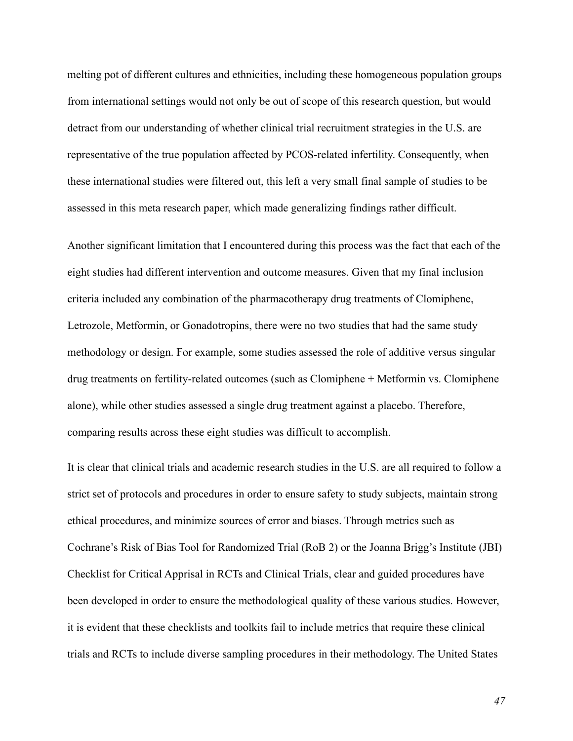melting pot of different cultures and ethnicities, including these homogeneous population groups from international settings would not only be out of scope of this research question, but would detract from our understanding of whether clinical trial recruitment strategies in the U.S. are representative of the true population affected by PCOS-related infertility. Consequently, when these international studies were filtered out, this left a very small final sample of studies to be assessed in this meta research paper, which made generalizing findings rather difficult.

Another significant limitation that I encountered during this process was the fact that each of the eight studies had different intervention and outcome measures. Given that my final inclusion criteria included any combination of the pharmacotherapy drug treatments of Clomiphene, Letrozole, Metformin, or Gonadotropins, there were no two studies that had the same study methodology or design. For example, some studies assessed the role of additive versus singular drug treatments on fertility-related outcomes (such as Clomiphene + Metformin vs. Clomiphene alone), while other studies assessed a single drug treatment against a placebo. Therefore, comparing results across these eight studies was difficult to accomplish.

It is clear that clinical trials and academic research studies in the U.S. are all required to follow a strict set of protocols and procedures in order to ensure safety to study subjects, maintain strong ethical procedures, and minimize sources of error and biases. Through metrics such as Cochrane's Risk of Bias Tool for Randomized Trial (RoB 2) or the Joanna Brigg's Institute (JBI) Checklist for Critical Apprisal in RCTs and Clinical Trials, clear and guided procedures have been developed in order to ensure the methodological quality of these various studies. However, it is evident that these checklists and toolkits fail to include metrics that require these clinical trials and RCTs to include diverse sampling procedures in their methodology. The United States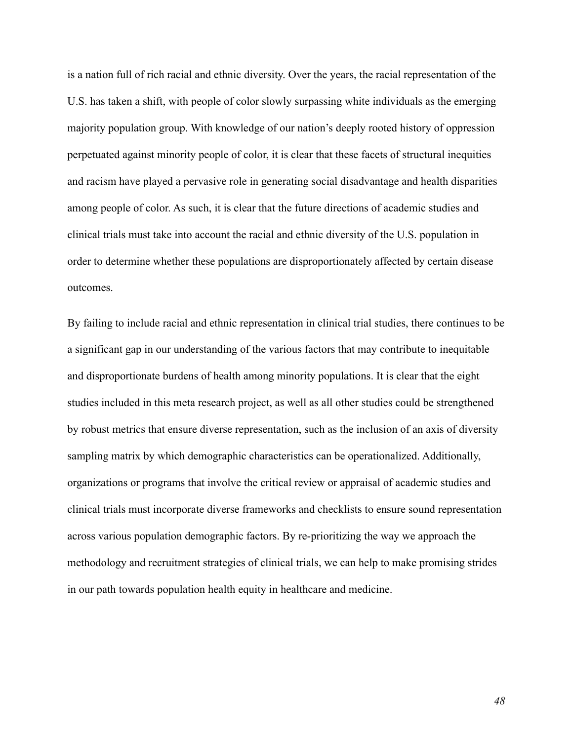is a nation full of rich racial and ethnic diversity. Over the years, the racial representation of the U.S. has taken a shift, with people of color slowly surpassing white individuals as the emerging majority population group. With knowledge of our nation's deeply rooted history of oppression perpetuated against minority people of color, it is clear that these facets of structural inequities and racism have played a pervasive role in generating social disadvantage and health disparities among people of color. As such, it is clear that the future directions of academic studies and clinical trials must take into account the racial and ethnic diversity of the U.S. population in order to determine whether these populations are disproportionately affected by certain disease outcomes.

By failing to include racial and ethnic representation in clinical trial studies, there continues to be a significant gap in our understanding of the various factors that may contribute to inequitable and disproportionate burdens of health among minority populations. It is clear that the eight studies included in this meta research project, as well as all other studies could be strengthened by robust metrics that ensure diverse representation, such as the inclusion of an axis of diversity sampling matrix by which demographic characteristics can be operationalized. Additionally, organizations or programs that involve the critical review or appraisal of academic studies and clinical trials must incorporate diverse frameworks and checklists to ensure sound representation across various population demographic factors. By re-prioritizing the way we approach the methodology and recruitment strategies of clinical trials, we can help to make promising strides in our path towards population health equity in healthcare and medicine.

*48*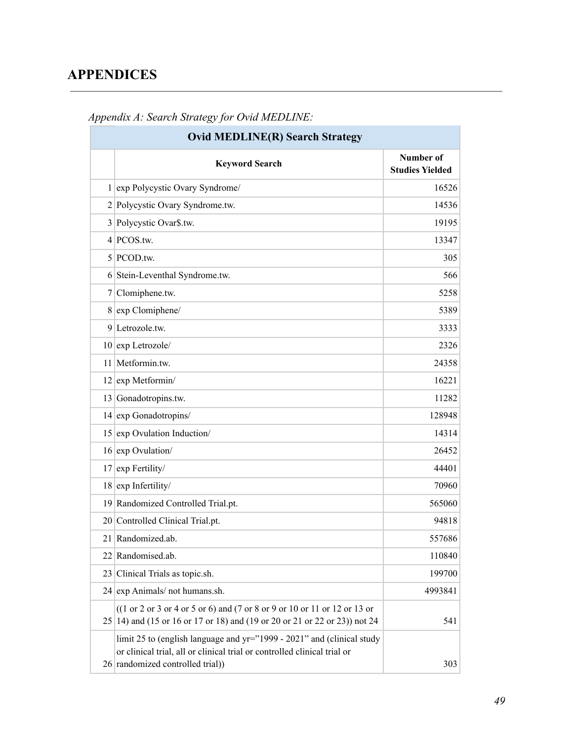## **APPENDICES**

| <b>Ovid MEDLINE(R) Search Strategy</b> |                                                                                                                                                                                       |                                     |  |
|----------------------------------------|---------------------------------------------------------------------------------------------------------------------------------------------------------------------------------------|-------------------------------------|--|
|                                        | <b>Keyword Search</b>                                                                                                                                                                 | Number of<br><b>Studies Yielded</b> |  |
|                                        | 1 exp Polycystic Ovary Syndrome/                                                                                                                                                      | 16526                               |  |
|                                        | 2 Polycystic Ovary Syndrome.tw.                                                                                                                                                       | 14536                               |  |
| $\overline{3}$                         | Polycystic Ovar\$.tw.                                                                                                                                                                 | 19195                               |  |
| 4                                      | PCOS.tw.                                                                                                                                                                              | 13347                               |  |
|                                        | 5 PCOD.tw.                                                                                                                                                                            | 305                                 |  |
|                                        | 6 Stein-Leventhal Syndrome.tw.                                                                                                                                                        | 566                                 |  |
| 7                                      | Clomiphene.tw.                                                                                                                                                                        | 5258                                |  |
|                                        | 8 exp Clomiphene/                                                                                                                                                                     | 5389                                |  |
| 9                                      | Letrozole.tw.                                                                                                                                                                         | 3333                                |  |
|                                        | $10$ exp Letrozole/                                                                                                                                                                   | 2326                                |  |
| 11                                     | Metformin.tw.                                                                                                                                                                         | 24358                               |  |
|                                        | $12$ exp Metformin/                                                                                                                                                                   | 16221                               |  |
|                                        | 13 Gonadotropins.tw.                                                                                                                                                                  | 11282                               |  |
|                                        | 14 exp Gonadotropins/                                                                                                                                                                 | 128948                              |  |
|                                        | 15 exp Ovulation Induction/                                                                                                                                                           | 14314                               |  |
|                                        | 16 exp Ovulation/                                                                                                                                                                     | 26452                               |  |
| 17                                     | exp Fertility/                                                                                                                                                                        | 44401                               |  |
| 18                                     | exp Infertility/                                                                                                                                                                      | 70960                               |  |
|                                        | 19 Randomized Controlled Trial.pt.                                                                                                                                                    | 565060                              |  |
|                                        | 20 Controlled Clinical Trial.pt.                                                                                                                                                      | 94818                               |  |
|                                        | 21 Randomized.ab.                                                                                                                                                                     | 557686                              |  |
|                                        | 22 Randomised.ab.                                                                                                                                                                     | 110840                              |  |
| 23                                     | Clinical Trials as topic.sh.                                                                                                                                                          | 199700                              |  |
|                                        | 24 exp Animals/ not humans.sh.                                                                                                                                                        | 4993841                             |  |
|                                        | $((1 or 2 or 3 or 4 or 5 or 6) and (7 or 8 or 9 or 10 or 11 or 12 or 13 or 13)$<br>25 14) and (15 or 16 or 17 or 18) and (19 or 20 or 21 or 22 or 23)) not 24                         | 541                                 |  |
|                                        | limit 25 to (english language and yr="1999 - 2021" and (clinical study<br>or clinical trial, all or clinical trial or controlled clinical trial or<br>26 randomized controlled trial) | 303                                 |  |

### *Appendix A: Search Strategy for Ovid MEDLINE:*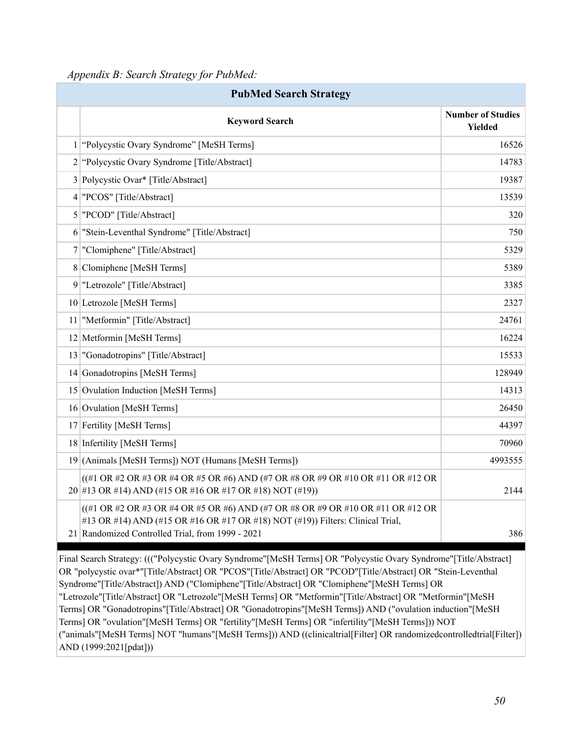*Appendix B: Search Strategy for PubMed:*

| <b>PubMed Search Strategy</b> |                                                                                                                                                                                                                                                 |                                     |
|-------------------------------|-------------------------------------------------------------------------------------------------------------------------------------------------------------------------------------------------------------------------------------------------|-------------------------------------|
|                               | <b>Keyword Search</b>                                                                                                                                                                                                                           | <b>Number of Studies</b><br>Yielded |
|                               | 1 "Polycystic Ovary Syndrome" [MeSH Terms]                                                                                                                                                                                                      | 16526                               |
|                               | 2 "Polycystic Ovary Syndrome [Title/Abstract]                                                                                                                                                                                                   | 14783                               |
|                               | 3 Polycystic Ovar* [Title/Abstract]                                                                                                                                                                                                             | 19387                               |
| $\vert 4 \vert$               | "PCOS" [Title/Abstract]                                                                                                                                                                                                                         | 13539                               |
|                               | 5   "PCOD" [Title/Abstract]                                                                                                                                                                                                                     | 320                                 |
|                               | 6 "Stein-Leventhal Syndrome" [Title/Abstract]                                                                                                                                                                                                   | 750                                 |
|                               | 7 "Clomiphene" [Title/Abstract]                                                                                                                                                                                                                 | 5329                                |
|                               | 8 Clomiphene [MeSH Terms]                                                                                                                                                                                                                       | 5389                                |
|                               | 9 "Letrozole" [Title/Abstract]                                                                                                                                                                                                                  | 3385                                |
|                               | 10 Letrozole [MeSH Terms]                                                                                                                                                                                                                       | 2327                                |
| 11                            | "Metformin" [Title/Abstract]                                                                                                                                                                                                                    | 24761                               |
|                               | 12 Metformin [MeSH Terms]                                                                                                                                                                                                                       | 16224                               |
|                               | 13 "Gonadotropins" [Title/Abstract]                                                                                                                                                                                                             | 15533                               |
|                               | 14 Gonadotropins [MeSH Terms]                                                                                                                                                                                                                   | 128949                              |
|                               | 15 Ovulation Induction [MeSH Terms]                                                                                                                                                                                                             | 14313                               |
|                               | 16 Ovulation [MeSH Terms]                                                                                                                                                                                                                       | 26450                               |
|                               | 17 Fertility [MeSH Terms]                                                                                                                                                                                                                       | 44397                               |
|                               | 18 Infertility [MeSH Terms]                                                                                                                                                                                                                     | 70960                               |
|                               | 19 (Animals [MeSH Terms]) NOT (Humans [MeSH Terms])                                                                                                                                                                                             | 4993555                             |
|                               | $((#1 \text{ OR }#2 \text{ OR }#3 \text{ OR }#4 \text{ OR }#5 \text{ OR }#6) \text{ AND } (#7 \text{ OR }#8 \text{ OR }#9 \text{ OR }#10 \text{ OR }#11 \text{ OR }#12 \text{ OR }$<br>20 #13 OR #14) AND (#15 OR #16 OR #17 OR #18) NOT (#19)) | 2144                                |
|                               | ((#1 OR #2 OR #3 OR #4 OR #5 OR #6) AND (#7 OR #8 OR #9 OR #10 OR #11 OR #12 OR<br>#13 OR #14) AND (#15 OR #16 OR #17 OR #18) NOT (#19)) Filters: Clinical Trial,<br>21 Randomized Controlled Trial, from 1999 - 2021                           | 386                                 |

Final Search Strategy: ((("Polycystic Ovary Syndrome"[MeSH Terms] OR "Polycystic Ovary Syndrome"[Title/Abstract] OR "polycystic ovar\*"[Title/Abstract] OR "PCOS"[Title/Abstract] OR "PCOD"[Title/Abstract] OR "Stein-Leventhal Syndrome"[Title/Abstract]) AND ("Clomiphene"[Title/Abstract] OR "Clomiphene"[MeSH Terms] OR "Letrozole"[Title/Abstract] OR "Letrozole"[MeSH Terms] OR "Metformin"[Title/Abstract] OR "Metformin"[MeSH Terms] OR "Gonadotropins"[Title/Abstract] OR "Gonadotropins"[MeSH Terms]) AND ("ovulation induction"[MeSH Terms] OR "ovulation"[MeSH Terms] OR "fertility"[MeSH Terms] OR "infertility"[MeSH Terms])) NOT ("animals"[MeSH Terms] NOT "humans"[MeSH Terms])) AND ((clinicaltrial[Filter] OR randomizedcontrolledtrial[Filter]) AND (1999:2021[pdat]))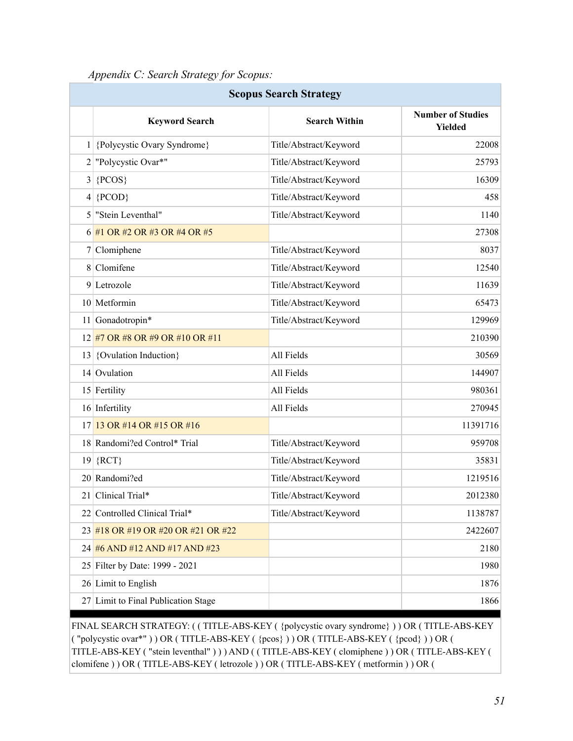| Appendix C: Search Strategy for Scopus: |  |  |  |
|-----------------------------------------|--|--|--|
|                                         |  |  |  |

| <b>Scopus Search Strategy</b> |                                    |                        |                                            |  |
|-------------------------------|------------------------------------|------------------------|--------------------------------------------|--|
|                               | <b>Keyword Search</b>              | <b>Search Within</b>   | <b>Number of Studies</b><br><b>Yielded</b> |  |
|                               | 1 {Polycystic Ovary Syndrome}      | Title/Abstract/Keyword | 22008                                      |  |
| 2                             | "Polycystic Ovar*"                 | Title/Abstract/Keyword | 25793                                      |  |
| 3                             | ${PCOS}$                           | Title/Abstract/Keyword | 16309                                      |  |
| 4                             | ${PCOD}$                           | Title/Abstract/Keyword | 458                                        |  |
| 5                             | "Stein Leventhal"                  | Title/Abstract/Keyword | 1140                                       |  |
|                               | 6 #1 OR #2 OR #3 OR #4 OR #5       |                        | 27308                                      |  |
| 7                             | Clomiphene                         | Title/Abstract/Keyword | 8037                                       |  |
|                               | 8 Clomifene                        | Title/Abstract/Keyword | 12540                                      |  |
|                               | $9$ Letrozole                      | Title/Abstract/Keyword | 11639                                      |  |
|                               | 10 Metformin                       | Title/Abstract/Keyword | 65473                                      |  |
| 11                            | Gonadotropin*                      | Title/Abstract/Keyword | 129969                                     |  |
|                               | 12 #7 OR #8 OR #9 OR #10 OR #11    |                        | 210390                                     |  |
| 13                            | {Ovulation Induction}              | All Fields             | 30569                                      |  |
|                               | 14 Ovulation                       | All Fields             | 144907                                     |  |
|                               | 15 Fertility                       | All Fields             | 980361                                     |  |
|                               | 16 Infertility                     | All Fields             | 270945                                     |  |
| 17                            | 13 OR #14 OR #15 OR #16            |                        | 11391716                                   |  |
|                               | 18 Randomi?ed Control* Trial       | Title/Abstract/Keyword | 959708                                     |  |
|                               | $19 \vert \{ RCT \}$               | Title/Abstract/Keyword | 35831                                      |  |
|                               | 20 Randomi?ed                      | Title/Abstract/Keyword | 1219516                                    |  |
|                               | 21 Clinical Trial*                 | Title/Abstract/Keyword | 2012380                                    |  |
|                               | 22 Controlled Clinical Trial*      | Title/Abstract/Keyword | 1138787                                    |  |
|                               | 23 #18 OR #19 OR #20 OR #21 OR #22 |                        | 2422607                                    |  |
|                               | 24 #6 AND #12 AND #17 AND #23      |                        | 2180                                       |  |
|                               | 25 Filter by Date: 1999 - 2021     |                        | 1980                                       |  |
|                               | 26 Limit to English                |                        | 1876                                       |  |
| 27                            | Limit to Final Publication Stage   |                        | 1866                                       |  |

FINAL SEARCH STRATEGY: ( ( TITLE-ABS-KEY ( {polycystic ovary syndrome} ) ) OR ( TITLE-ABS-KEY  $($  "polycystic ovar\*")  $)$  OR (TITLE-ABS-KEY ( $\{pcos\}$ )) OR (TITLE-ABS-KEY ( $\{pcod\}$ )) OR ( TITLE-ABS-KEY ( "stein leventhal" ) ) ) AND ( ( TITLE-ABS-KEY ( clomiphene ) ) OR ( TITLE-ABS-KEY ( clomifene ) ) OR ( TITLE-ABS-KEY ( letrozole ) ) OR ( TITLE-ABS-KEY ( metformin ) ) OR (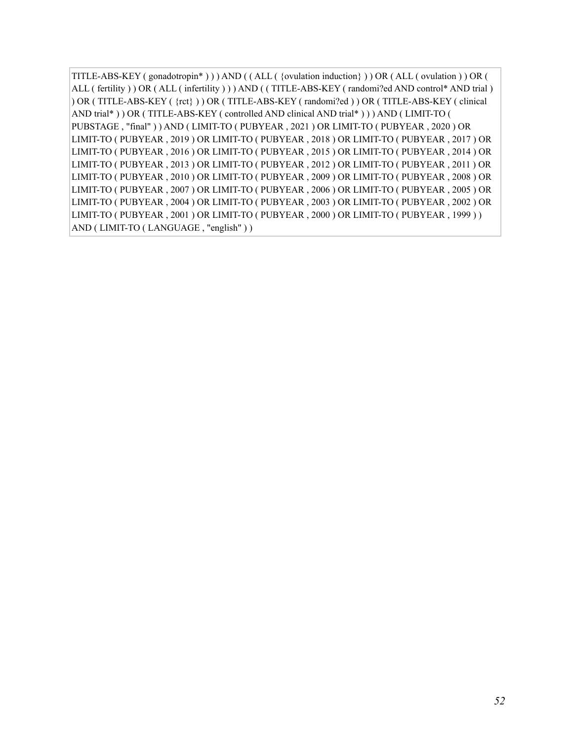TITLE-ABS-KEY ( gonadotropin\* ) ) ) AND ( ( ALL ( {ovulation induction} ) ) OR ( ALL ( ovulation ) ) OR ( ALL ( fertility ) ) OR ( ALL ( infertility ) ) ) AND ( ( TITLE-ABS-KEY ( randomi?ed AND control\* AND trial ) ) OR ( TITLE-ABS-KEY ( {rct} ) ) OR ( TITLE-ABS-KEY ( randomi?ed ) ) OR ( TITLE-ABS-KEY ( clinical AND trial\* ) ) OR ( TITLE-ABS-KEY ( controlled AND clinical AND trial\* ) ) ) AND ( LIMIT-TO ( PUBSTAGE , "final" ) ) AND ( LIMIT-TO ( PUBYEAR , 2021 ) OR LIMIT-TO ( PUBYEAR , 2020 ) OR LIMIT-TO ( PUBYEAR , 2019 ) OR LIMIT-TO ( PUBYEAR , 2018 ) OR LIMIT-TO ( PUBYEAR , 2017 ) OR LIMIT-TO ( PUBYEAR , 2016 ) OR LIMIT-TO ( PUBYEAR , 2015 ) OR LIMIT-TO ( PUBYEAR , 2014 ) OR LIMIT-TO ( PUBYEAR , 2013 ) OR LIMIT-TO ( PUBYEAR , 2012 ) OR LIMIT-TO ( PUBYEAR , 2011 ) OR LIMIT-TO ( PUBYEAR , 2010 ) OR LIMIT-TO ( PUBYEAR , 2009 ) OR LIMIT-TO ( PUBYEAR , 2008 ) OR LIMIT-TO ( PUBYEAR , 2007 ) OR LIMIT-TO ( PUBYEAR , 2006 ) OR LIMIT-TO ( PUBYEAR , 2005 ) OR LIMIT-TO ( PUBYEAR , 2004 ) OR LIMIT-TO ( PUBYEAR , 2003 ) OR LIMIT-TO ( PUBYEAR , 2002 ) OR LIMIT-TO ( PUBYEAR , 2001 ) OR LIMIT-TO ( PUBYEAR , 2000 ) OR LIMIT-TO ( PUBYEAR , 1999 ) ) AND ( LIMIT-TO ( LANGUAGE , "english" ) )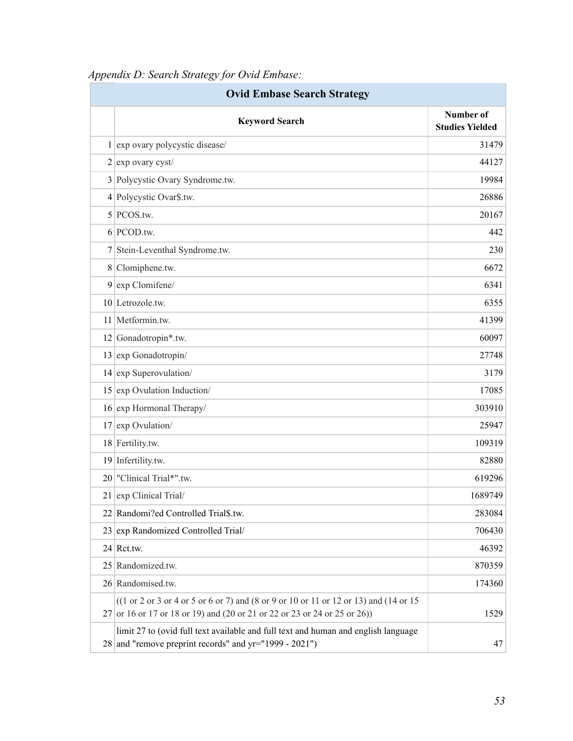| <b>Ovid Embase Search Strategy</b> |                                                                                                                                                                         |                                     |
|------------------------------------|-------------------------------------------------------------------------------------------------------------------------------------------------------------------------|-------------------------------------|
|                                    | <b>Keyword Search</b>                                                                                                                                                   | Number of<br><b>Studies Yielded</b> |
|                                    | 1 exp ovary polycystic disease/                                                                                                                                         | 31479                               |
|                                    | $2$ exp ovary cyst/                                                                                                                                                     | 44127                               |
| $\mathbf{3}$                       | Polycystic Ovary Syndrome.tw.                                                                                                                                           | 19984                               |
|                                    | 4 Polycystic Ovar\$.tw.                                                                                                                                                 | 26886                               |
| 5                                  | PCOS.tw.                                                                                                                                                                | 20167                               |
|                                    | $6$ PCOD.tw.                                                                                                                                                            | 442                                 |
| 7                                  | Stein-Leventhal Syndrome.tw.                                                                                                                                            | 230                                 |
|                                    | 8 Clomiphene.tw.                                                                                                                                                        | 6672                                |
| 9                                  | exp Clomifene/                                                                                                                                                          | 6341                                |
|                                    | $10$ Letrozole.tw.                                                                                                                                                      | 6355                                |
|                                    | 11 Metformin.tw.                                                                                                                                                        | 41399                               |
|                                    | 12 Gonadotropin*.tw.                                                                                                                                                    | 60097                               |
| 13                                 | exp Gonadotropin/                                                                                                                                                       | 27748                               |
|                                    | $14$ exp Superovulation/                                                                                                                                                | 3179                                |
| 15                                 | exp Ovulation Induction/                                                                                                                                                | 17085                               |
|                                    | 16 exp Hormonal Therapy/                                                                                                                                                | 303910                              |
| 17                                 | exp Ovulation/                                                                                                                                                          | 25947                               |
|                                    | 18 Fertility.tw.                                                                                                                                                        | 109319                              |
| <u>19</u>                          | Infertility.tw.                                                                                                                                                         | 82880                               |
|                                    | 20 "Clinical Trial*".tw.                                                                                                                                                | 619296                              |
|                                    | 21 exp Clinical Trial/                                                                                                                                                  | 1689749                             |
|                                    | 22 Randomi?ed Controlled Trial\$.tw.                                                                                                                                    | 283084                              |
| 23                                 | exp Randomized Controlled Trial/                                                                                                                                        | 706430                              |
| 24                                 | Rct.tw.                                                                                                                                                                 | 46392                               |
| 25                                 | Randomized.tw.                                                                                                                                                          | 870359                              |
|                                    | 26 Randomised.tw.                                                                                                                                                       | 174360                              |
|                                    | $((1 or 2 or 3 or 4 or 5 or 6 or 7) and (8 or 9 or 10 or 11 or 12 or 13) and (14 or 15)$<br>$27$ or 16 or 17 or 18 or 19) and (20 or 21 or 22 or 23 or 24 or 25 or 26)) | 1529                                |
|                                    | limit 27 to (ovid full text available and full text and human and english language<br>28 and "remove preprint records" and yr="1999 - 2021")                            | 47                                  |

*Appendix D: Search Strategy for Ovid Embase:*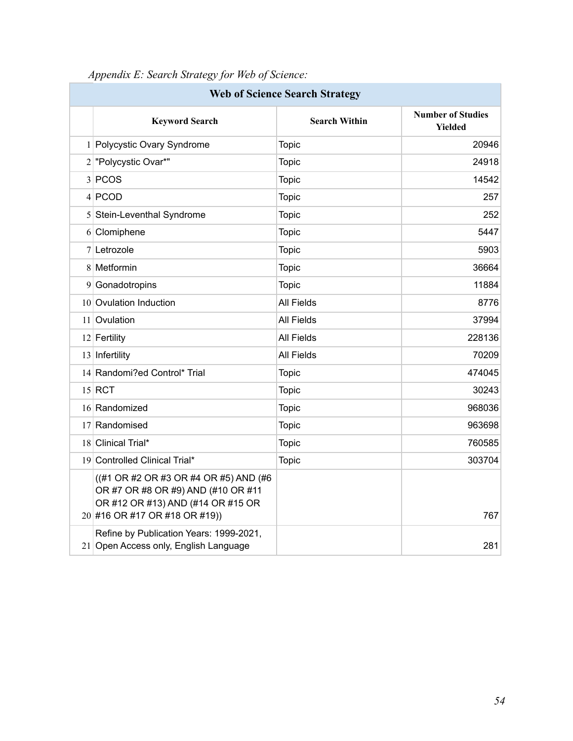| <b>Web of Science Search Strategy</b> |                                                                                                                                                   |                      |                                     |
|---------------------------------------|---------------------------------------------------------------------------------------------------------------------------------------------------|----------------------|-------------------------------------|
|                                       | <b>Keyword Search</b>                                                                                                                             | <b>Search Within</b> | <b>Number of Studies</b><br>Yielded |
|                                       | 1 Polycystic Ovary Syndrome                                                                                                                       | <b>Topic</b>         | 20946                               |
|                                       | 2 "Polycystic Ovar*"                                                                                                                              | <b>Topic</b>         | 24918                               |
|                                       | 3 PCOS                                                                                                                                            | <b>Topic</b>         | 14542                               |
|                                       | 4 PCOD                                                                                                                                            | <b>Topic</b>         | 257                                 |
|                                       | 5 Stein-Leventhal Syndrome                                                                                                                        | <b>Topic</b>         | 252                                 |
|                                       | 6 Clomiphene                                                                                                                                      | <b>Topic</b>         | 5447                                |
|                                       | 7 Letrozole                                                                                                                                       | <b>Topic</b>         | 5903                                |
|                                       | 8 Metformin                                                                                                                                       | <b>Topic</b>         | 36664                               |
|                                       | 9 Gonadotropins                                                                                                                                   | <b>Topic</b>         | 11884                               |
|                                       | 10 Ovulation Induction                                                                                                                            | <b>All Fields</b>    | 8776                                |
|                                       | 11 Ovulation                                                                                                                                      | <b>All Fields</b>    | 37994                               |
|                                       | 12 Fertility                                                                                                                                      | <b>All Fields</b>    | 228136                              |
|                                       | 13 Infertility                                                                                                                                    | <b>All Fields</b>    | 70209                               |
|                                       | 14 Randomi?ed Control* Trial                                                                                                                      | <b>Topic</b>         | 474045                              |
|                                       | $15$ RCT                                                                                                                                          | <b>Topic</b>         | 30243                               |
|                                       | 16 Randomized                                                                                                                                     | <b>Topic</b>         | 968036                              |
|                                       | 17 Randomised                                                                                                                                     | <b>Topic</b>         | 963698                              |
|                                       | 18 Clinical Trial*                                                                                                                                | <b>Topic</b>         | 760585                              |
|                                       | 19 Controlled Clinical Trial*                                                                                                                     | <b>Topic</b>         | 303704                              |
|                                       | ((#1 OR #2 OR #3 OR #4 OR #5) AND (#6<br>OR #7 OR #8 OR #9) AND (#10 OR #11<br>OR #12 OR #13) AND (#14 OR #15 OR<br>20 #16 OR #17 OR #18 OR #19)) |                      | 767                                 |
|                                       | Refine by Publication Years: 1999-2021,<br>21 Open Access only, English Language                                                                  |                      | 281                                 |

# *Appendix E: Search Strategy for Web of Science:*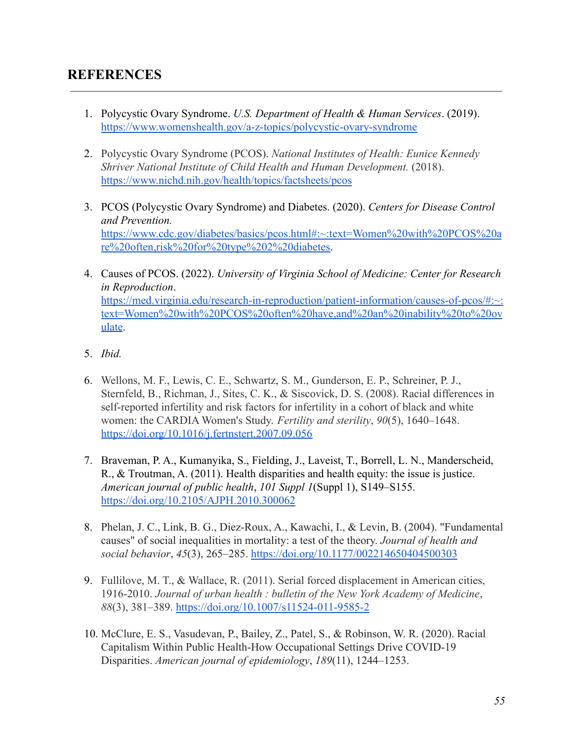- 1. Polycystic Ovary Syndrome. *U.S. Department of Health & Human Services*. (2019). <https://www.womenshealth.gov/a-z-topics/polycystic-ovary-syndrome>
- 2. Polycystic Ovary Syndrome (PCOS). *National Institutes of Health: Eunice Kennedy Shriver National Institute of Child Health and Human Development.* (2018). <https://www.nichd.nih.gov/health/topics/factsheets/pcos>
- 3. PCOS (Polycystic Ovary Syndrome) and Diabetes. (2020). *Centers for Disease Control and Prevention.* [https://www.cdc.gov/diabetes/basics/pcos.html#:~:text=Women%20with%20PCOS%20a](https://www.cdc.gov/diabetes/basics/pcos.html#:~:text=Women%20with%20PCOS%20are%20often,risk%20for%20type%202%20diabetes) [re%20often,risk%20for%20type%202%20diabetes.](https://www.cdc.gov/diabetes/basics/pcos.html#:~:text=Women%20with%20PCOS%20are%20often,risk%20for%20type%202%20diabetes)
- 4. Causes of PCOS. (2022). *University of Virginia School of Medicine: Center for Research in Reproduction*. [https://med.virginia.edu/research-in-reproduction/patient-information/causes-of-pcos/#:~:](https://med.virginia.edu/research-in-reproduction/patient-information/causes-of-pcos/#:~:text=Women%20with%20PCOS%20often%20have,and%20an%20inability%20to%20ovulate) [text=Women%20with%20PCOS%20often%20have,and%20an%20inability%20to%20ov](https://med.virginia.edu/research-in-reproduction/patient-information/causes-of-pcos/#:~:text=Women%20with%20PCOS%20often%20have,and%20an%20inability%20to%20ovulate) [ulate](https://med.virginia.edu/research-in-reproduction/patient-information/causes-of-pcos/#:~:text=Women%20with%20PCOS%20often%20have,and%20an%20inability%20to%20ovulate).
- 5. *Ibid.*
- 6. Wellons, M. F., Lewis, C. E., Schwartz, S. M., Gunderson, E. P., Schreiner, P. J., Sternfeld, B., Richman, J., Sites, C. K., & Siscovick, D. S. (2008). Racial differences in self-reported infertility and risk factors for infertility in a cohort of black and white women: the CARDIA Women's Study. *Fertility and sterility*, *90*(5), 1640–1648. <https://doi.org/10.1016/j.fertnstert.2007.09.056>
- 7. Braveman, P. A., Kumanyika, S., Fielding, J., Laveist, T., Borrell, L. N., Manderscheid, R., & Troutman, A. (2011). Health disparities and health equity: the issue is justice. *American journal of public health*, *101 Suppl 1*(Suppl 1), S149–S155. <https://doi.org/10.2105/AJPH.2010.300062>
- 8. Phelan, J. C., Link, B. G., Diez-Roux, A., Kawachi, I., & Levin, B. (2004). "Fundamental causes" of social inequalities in mortality: a test of the theory. *Journal of health and social behavior*, *45*(3), 265–285. <https://doi.org/10.1177/002214650404500303>
- 9. Fullilove, M. T., & Wallace, R. (2011). Serial forced displacement in American cities, 1916-2010. *Journal of urban health : bulletin of the New York Academy of Medicine*, *88*(3), 381–389. <https://doi.org/10.1007/s11524-011-9585-2>
- 10. McClure, E. S., Vasudevan, P., Bailey, Z., Patel, S., & Robinson, W. R. (2020). Racial Capitalism Within Public Health-How Occupational Settings Drive COVID-19 Disparities. *American journal of epidemiology*, *189*(11), 1244–1253.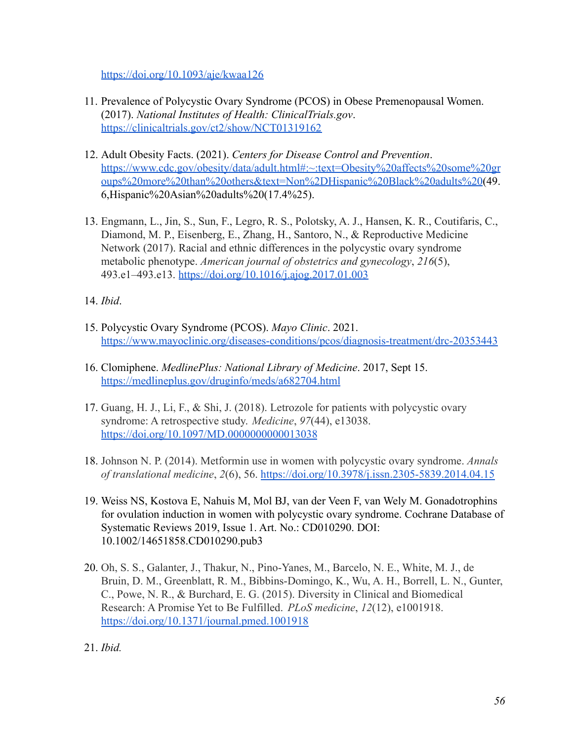<https://doi.org/10.1093/aje/kwaa126>

- 11. Prevalence of Polycystic Ovary Syndrome (PCOS) in Obese Premenopausal Women. (2017). *National Institutes of Health: ClinicalTrials.gov*. <https://clinicaltrials.gov/ct2/show/NCT01319162>
- 12. Adult Obesity Facts. (2021). *Centers for Disease Control and Prevention*. [https://www.cdc.gov/obesity/data/adult.html#:~:text=Obesity%20affects%20some%20gr](https://www.cdc.gov/obesity/data/adult.html#:~:text=Obesity%20affects%20some%20groups%20more%20than%20others&text=Non%2DHispanic%20Black%20adults%20) [oups%20more%20than%20others&text=Non%2DHispanic%20Black%20adults%20](https://www.cdc.gov/obesity/data/adult.html#:~:text=Obesity%20affects%20some%20groups%20more%20than%20others&text=Non%2DHispanic%20Black%20adults%20)(49. 6,Hispanic%20Asian%20adults%20(17.4%25).
- 13. Engmann, L., Jin, S., Sun, F., Legro, R. S., Polotsky, A. J., Hansen, K. R., Coutifaris, C., Diamond, M. P., Eisenberg, E., Zhang, H., Santoro, N., & Reproductive Medicine Network (2017). Racial and ethnic differences in the polycystic ovary syndrome metabolic phenotype. *American journal of obstetrics and gynecology*, *216*(5), 493.e1–493.e13. <https://doi.org/10.1016/j.ajog.2017.01.003>

14. *Ibid*.

- 15. Polycystic Ovary Syndrome (PCOS). *Mayo Clinic*. 2021. <https://www.mayoclinic.org/diseases-conditions/pcos/diagnosis-treatment/drc-20353443>
- 16. Clomiphene. *MedlinePlus: National Library of Medicine*. 2017, Sept 15. <https://medlineplus.gov/druginfo/meds/a682704.html>
- 17. Guang, H. J., Li, F., & Shi, J. (2018). Letrozole for patients with polycystic ovary syndrome: A retrospective study. *Medicine*, *97*(44), e13038. <https://doi.org/10.1097/MD.0000000000013038>
- 18. Johnson N. P. (2014). Metformin use in women with polycystic ovary syndrome. *Annals of translational medicine*, *2*(6), 56. <https://doi.org/10.3978/j.issn.2305-5839.2014.04.15>
- 19. Weiss NS, Kostova E, Nahuis M, Mol BJ, van der Veen F, van Wely M. Gonadotrophins for ovulation induction in women with polycystic ovary syndrome. Cochrane Database of Systematic Reviews 2019, Issue 1. Art. No.: CD010290. DOI: 10.1002/14651858.CD010290.pub3
- 20. Oh, S. S., Galanter, J., Thakur, N., Pino-Yanes, M., Barcelo, N. E., White, M. J., de Bruin, D. M., Greenblatt, R. M., Bibbins-Domingo, K., Wu, A. H., Borrell, L. N., Gunter, C., Powe, N. R., & Burchard, E. G. (2015). Diversity in Clinical and Biomedical Research: A Promise Yet to Be Fulfilled. *PLoS medicine*, *12*(12), e1001918. <https://doi.org/10.1371/journal.pmed.1001918>

<sup>21.</sup> *Ibid.*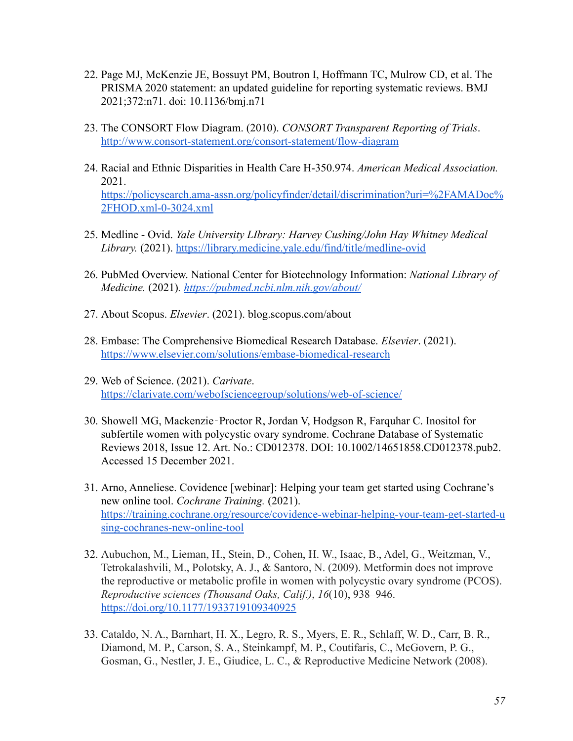- 22. Page MJ, McKenzie JE, Bossuyt PM, Boutron I, Hoffmann TC, Mulrow CD, et al. The PRISMA 2020 statement: an updated guideline for reporting systematic reviews. BMJ 2021;372:n71. doi: 10.1136/bmj.n71
- 23. The CONSORT Flow Diagram. (2010). *CONSORT Transparent Reporting of Trials*. <http://www.consort-statement.org/consort-statement/flow-diagram>
- 24. Racial and Ethnic Disparities in Health Care H-350.974. *American Medical Association.* 2021. [https://policysearch.ama-assn.org/policyfinder/detail/discrimination?uri=%2FAMADoc%](https://policysearch.ama-assn.org/policyfinder/detail/discrimination?uri=%2FAMADoc%2FHOD.xml-0-3024.xml) [2FHOD.xml-0-3024.xml](https://policysearch.ama-assn.org/policyfinder/detail/discrimination?uri=%2FAMADoc%2FHOD.xml-0-3024.xml)
- 25. Medline Ovid. *Yale University LIbrary: Harvey Cushing/John Hay Whitney Medical Library.* (2021). <https://library.medicine.yale.edu/find/title/medline-ovid>
- 26. PubMed Overview. National Center for Biotechnology Information: *National Library of Medicine.* (2021)*. <https://pubmed.ncbi.nlm.nih.gov/about/>*
- 27. About Scopus. *Elsevier*. (2021). blog.scopus.com/about
- 28. Embase: The Comprehensive Biomedical Research Database. *Elsevier*. (2021). <https://www.elsevier.com/solutions/embase-biomedical-research>
- 29. Web of Science. (2021). *Carivate*. <https://clarivate.com/webofsciencegroup/solutions/web-of-science/>
- 30. Showell MG, Mackenzie‐Proctor R, Jordan V, Hodgson R, Farquhar C. Inositol for subfertile women with polycystic ovary syndrome. Cochrane Database of Systematic Reviews 2018, Issue 12. Art. No.: CD012378. DOI: 10.1002/14651858.CD012378.pub2. Accessed 15 December 2021.
- 31. Arno, Anneliese. Covidence [webinar]: Helping your team get started using Cochrane's new online tool. *Cochrane Training.* (2021). [https://training.cochrane.org/resource/covidence-webinar-helping-your-team-get-started-u](https://training.cochrane.org/resource/covidence-webinar-helping-your-team-get-started-using-cochranes-new-online-tool) [sing-cochranes-new-online-tool](https://training.cochrane.org/resource/covidence-webinar-helping-your-team-get-started-using-cochranes-new-online-tool)
- 32. Aubuchon, M., Lieman, H., Stein, D., Cohen, H. W., Isaac, B., Adel, G., Weitzman, V., Tetrokalashvili, M., Polotsky, A. J., & Santoro, N. (2009). Metformin does not improve the reproductive or metabolic profile in women with polycystic ovary syndrome (PCOS). *Reproductive sciences (Thousand Oaks, Calif.)*, *16*(10), 938–946. <https://doi.org/10.1177/1933719109340925>
- 33. Cataldo, N. A., Barnhart, H. X., Legro, R. S., Myers, E. R., Schlaff, W. D., Carr, B. R., Diamond, M. P., Carson, S. A., Steinkampf, M. P., Coutifaris, C., McGovern, P. G., Gosman, G., Nestler, J. E., Giudice, L. C., & Reproductive Medicine Network (2008).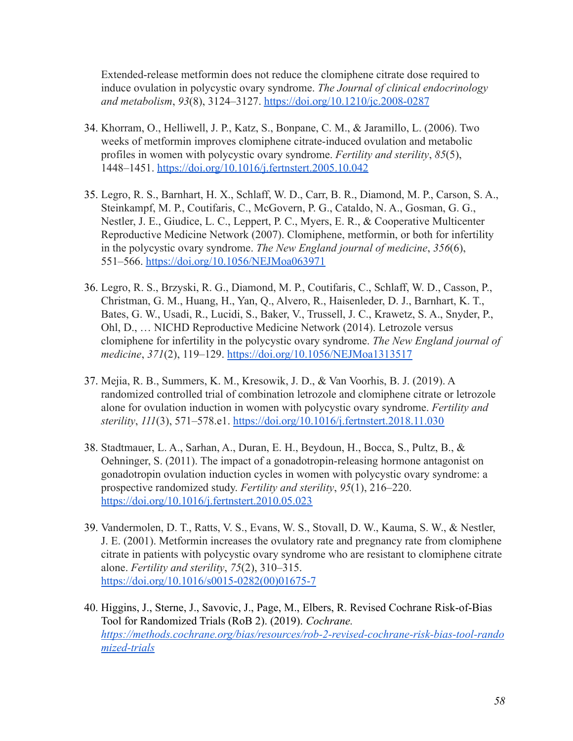Extended-release metformin does not reduce the clomiphene citrate dose required to induce ovulation in polycystic ovary syndrome. *The Journal of clinical endocrinology and metabolism*, *93*(8), 3124–3127. <https://doi.org/10.1210/jc.2008-0287>

- 34. Khorram, O., Helliwell, J. P., Katz, S., Bonpane, C. M., & Jaramillo, L. (2006). Two weeks of metformin improves clomiphene citrate-induced ovulation and metabolic profiles in women with polycystic ovary syndrome. *Fertility and sterility*, *85*(5), 1448–1451. <https://doi.org/10.1016/j.fertnstert.2005.10.042>
- 35. Legro, R. S., Barnhart, H. X., Schlaff, W. D., Carr, B. R., Diamond, M. P., Carson, S. A., Steinkampf, M. P., Coutifaris, C., McGovern, P. G., Cataldo, N. A., Gosman, G. G., Nestler, J. E., Giudice, L. C., Leppert, P. C., Myers, E. R., & Cooperative Multicenter Reproductive Medicine Network (2007). Clomiphene, metformin, or both for infertility in the polycystic ovary syndrome. *The New England journal of medicine*, *356*(6), 551–566. <https://doi.org/10.1056/NEJMoa063971>
- 36. Legro, R. S., Brzyski, R. G., Diamond, M. P., Coutifaris, C., Schlaff, W. D., Casson, P., Christman, G. M., Huang, H., Yan, Q., Alvero, R., Haisenleder, D. J., Barnhart, K. T., Bates, G. W., Usadi, R., Lucidi, S., Baker, V., Trussell, J. C., Krawetz, S. A., Snyder, P., Ohl, D., … NICHD Reproductive Medicine Network (2014). Letrozole versus clomiphene for infertility in the polycystic ovary syndrome. *The New England journal of medicine*, *371*(2), 119–129. <https://doi.org/10.1056/NEJMoa1313517>
- 37. Mejia, R. B., Summers, K. M., Kresowik, J. D., & Van Voorhis, B. J. (2019). A randomized controlled trial of combination letrozole and clomiphene citrate or letrozole alone for ovulation induction in women with polycystic ovary syndrome. *Fertility and sterility*, *111*(3), 571–578.e1. <https://doi.org/10.1016/j.fertnstert.2018.11.030>
- 38. Stadtmauer, L. A., Sarhan, A., Duran, E. H., Beydoun, H., Bocca, S., Pultz, B., & Oehninger, S. (2011). The impact of a gonadotropin-releasing hormone antagonist on gonadotropin ovulation induction cycles in women with polycystic ovary syndrome: a prospective randomized study. *Fertility and sterility*, *95*(1), 216–220. <https://doi.org/10.1016/j.fertnstert.2010.05.023>
- 39. Vandermolen, D. T., Ratts, V. S., Evans, W. S., Stovall, D. W., Kauma, S. W., & Nestler, J. E. (2001). Metformin increases the ovulatory rate and pregnancy rate from clomiphene citrate in patients with polycystic ovary syndrome who are resistant to clomiphene citrate alone. *Fertility and sterility*, *75*(2), 310–315. [https://doi.org/10.1016/s0015-0282\(00\)01675-7](https://doi.org/10.1016/s0015-0282(00)01675-7)
- 40. Higgins, J., Sterne, J., Savovic, J., Page, M., Elbers, R. Revised Cochrane Risk-of-Bias Tool for Randomized Trials (RoB 2). (2019). *Cochrane. [https://methods.cochrane.org/bias/resources/rob-2-revised-cochrane-risk-bias-tool-rando](https://methods.cochrane.org/bias/resources/rob-2-revised-cochrane-risk-bias-tool-randomized-trials) [mized-trials](https://methods.cochrane.org/bias/resources/rob-2-revised-cochrane-risk-bias-tool-randomized-trials)*